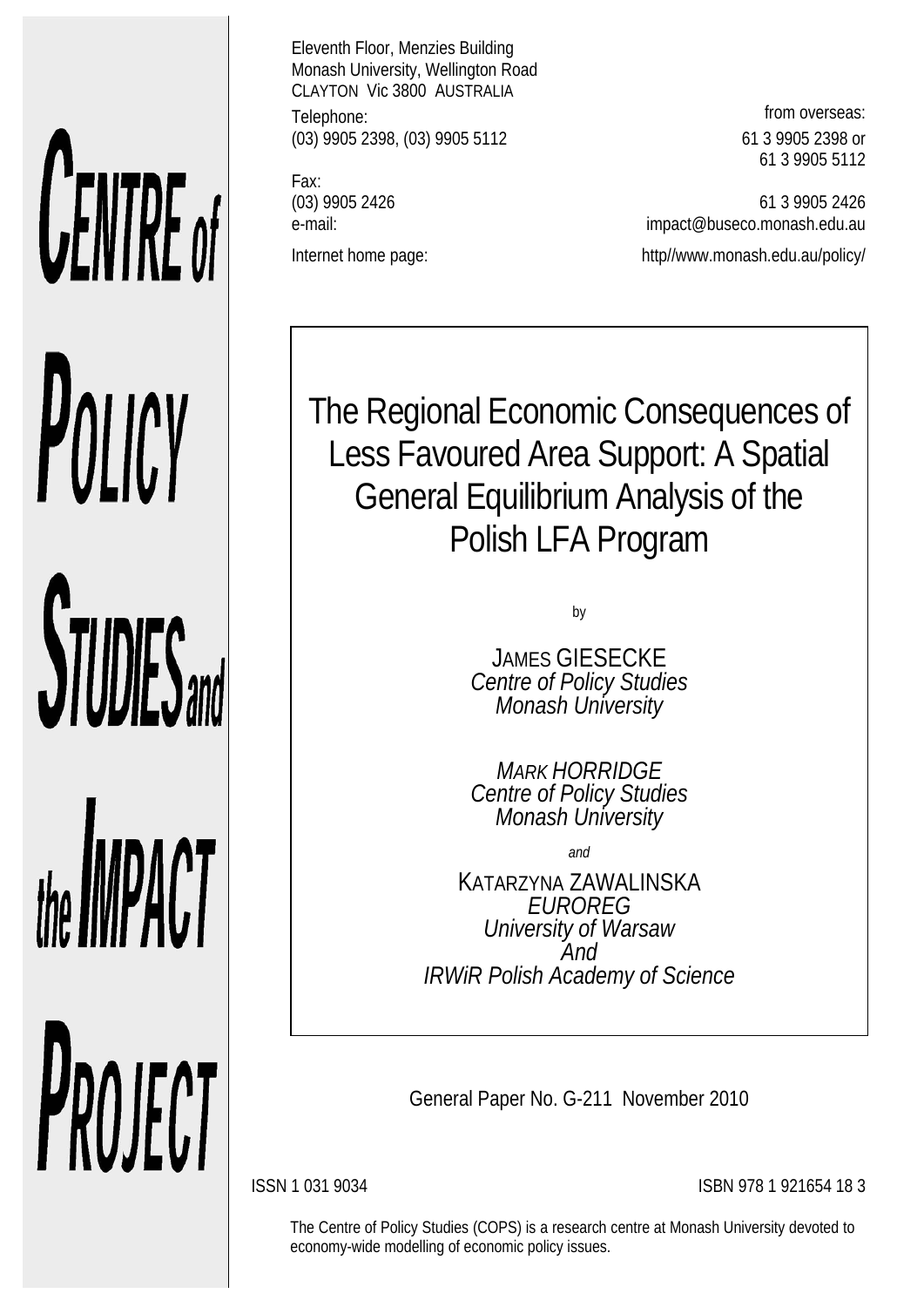# CENTRE of POLICY **STUDIES** and the **IMPACT**

PROJECT

Eleventh Floor, Menzies Building Monash University, Wellington Road CLAYTON Vic 3800 AUSTRALIA Telephone: **from overseas: from overseas:** (03) 9905 2398, (03) 9905 5112 61 3 9905 2398 or

Fax:

61 3 9905 5112

(03) 9905 2426 61 3 9905 2426 e-mail: impact@buseco.monash.edu.au Internet home page: http://www.monash.edu.au/policy/

# The Regional Economic Consequences of Less Favoured Area Support: A Spatial General Equilibrium Analysis of the Polish LFA Program

by

JAMES GIESECKE *Centre of Policy Studies Monash University* 

*MARK HORRIDGE Centre of Policy Studies Monash University* 

*and* 

KATARZYNA ZAWALINSKA *EUROREG University of Warsaw And IRWiR Polish Academy of Science*

General Paper No. G-211 November 2010

ISSN 1 031 9034 ISBN 978 1 921654 18 3

The Centre of Policy Studies (COPS) is a research centre at Monash University devoted to economy-wide modelling of economic policy issues.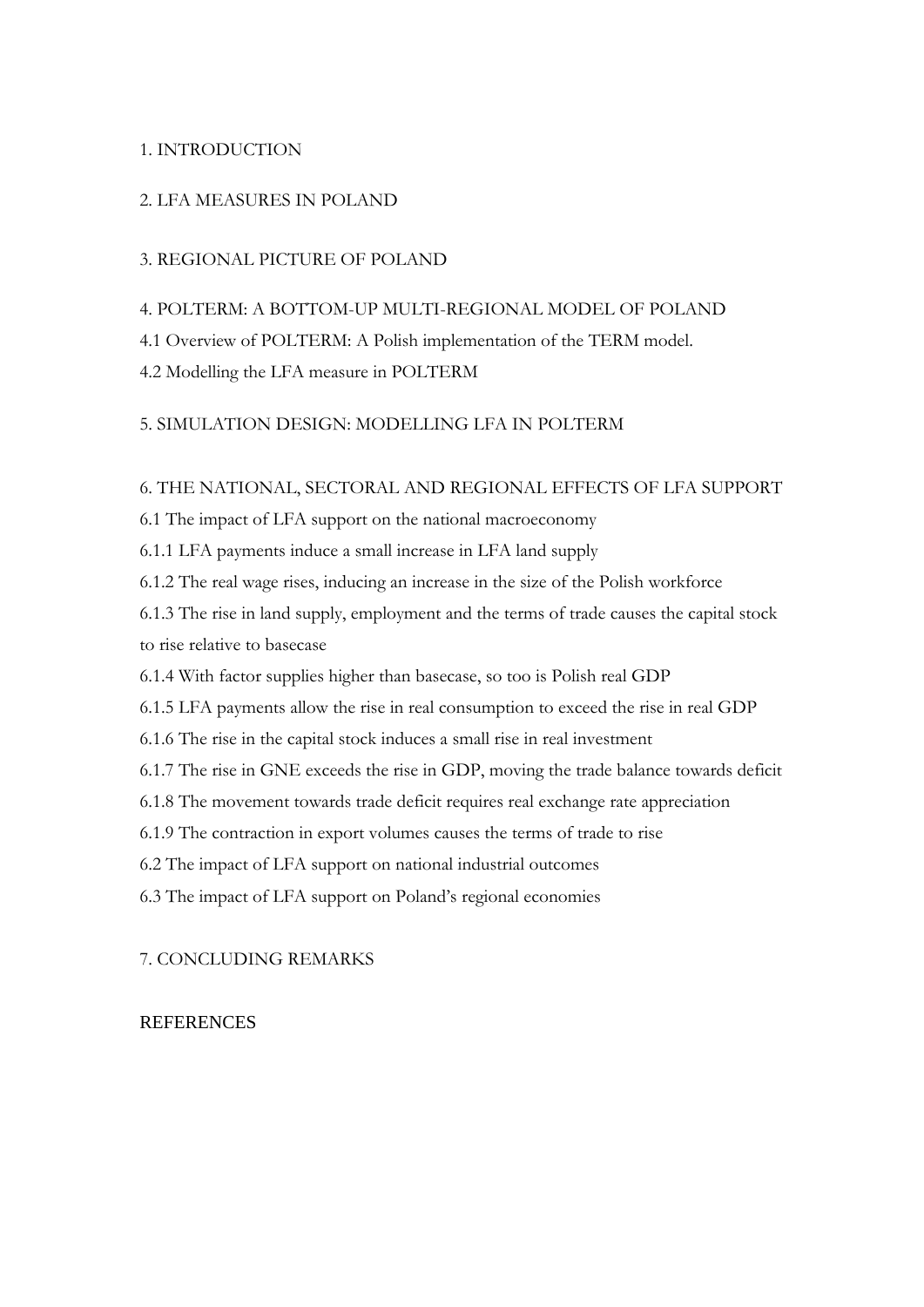#### 1. INTRODUCTION

#### 2. LFA MEASURES IN POLAND

#### 3. REGIONAL PICTURE OF POLAND

#### 4. POLTERM: A BOTTOM-UP MULTI-REGIONAL MODEL OF POLAND

4.1 Overview of POLTERM: A Polish implementation of the TERM model.

4.2 Modelling the LFA measure in POLTERM

#### 5. SIMULATION DESIGN: MODELLING LFA IN POLTERM

#### 6. THE NATIONAL, SECTORAL AND REGIONAL EFFECTS OF LFA SUPPORT

6.1 The impact of LFA support on the national macroeconomy

6.1.1 LFA payments induce a small increase in LFA land supply

6.1.2 The real wage rises, inducing an increase in the size of the Polish workforce

6.1.3 The rise in land supply, employment and the terms of trade causes the capital stock to rise relative to basecase

6.1.4 With factor supplies higher than basecase, so too is Polish real GDP

6.1.5 LFA payments allow the rise in real consumption to exceed the rise in real GDP

6.1.6 The rise in the capital stock induces a small rise in real investment

6.1.7 The rise in GNE exceeds the rise in GDP, moving the trade balance towards deficit

6.1.8 The movement towards trade deficit requires real exchange rate appreciation

6.1.9 The contraction in export volumes causes the terms of trade to rise

6.2 The impact of LFA support on national industrial outcomes

6.3 The impact of LFA support on Poland's regional economies

#### 7. CONCLUDING REMARKS

#### **REFERENCES**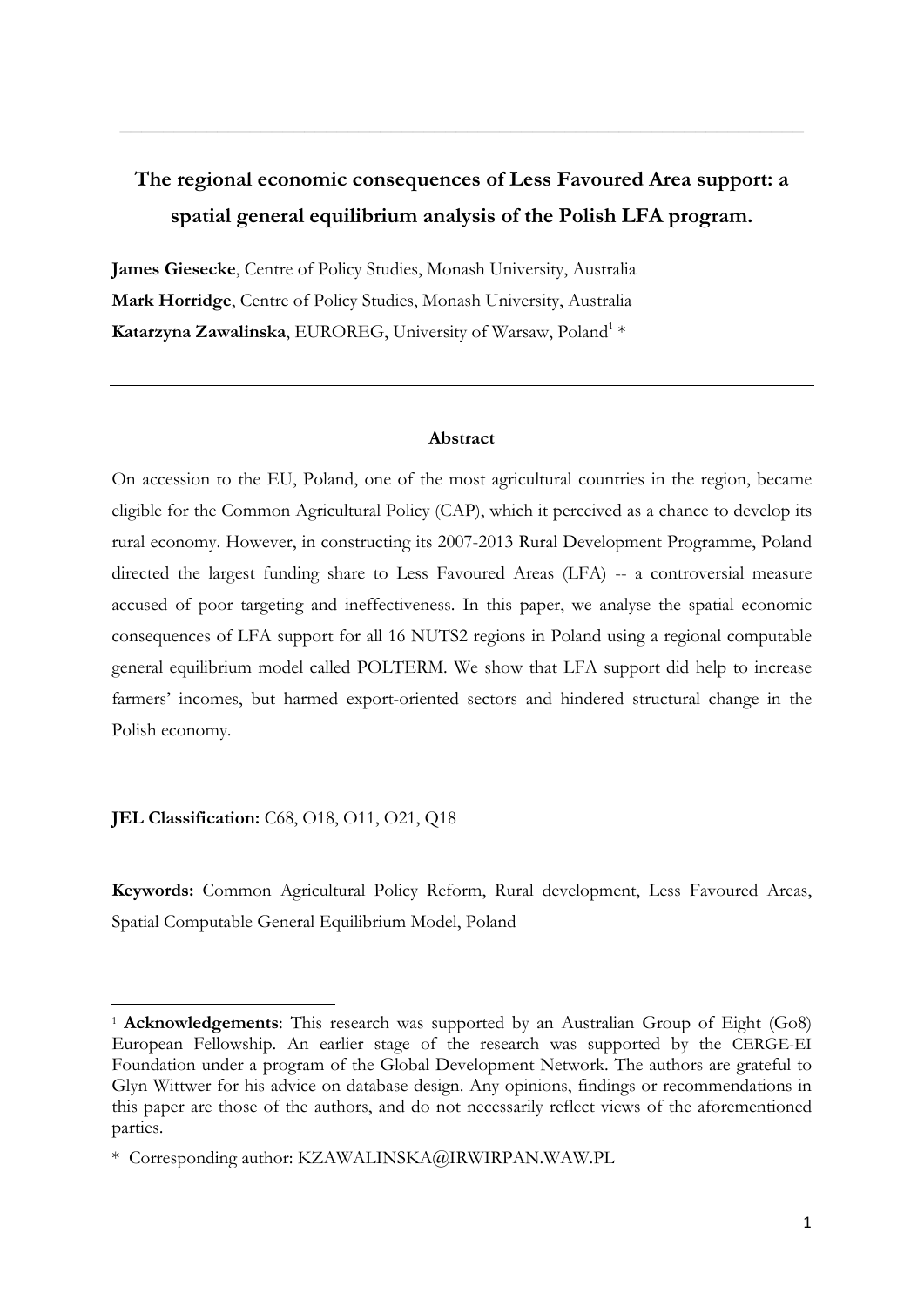# **The regional economic consequences of Less Favoured Area support: a spatial general equilibrium analysis of the Polish LFA program.**

**\_\_\_\_\_\_\_\_\_\_\_\_\_\_\_\_\_\_\_\_\_\_\_\_\_\_\_\_\_\_\_\_\_\_\_\_\_\_\_\_\_\_\_\_\_\_\_\_\_\_\_\_\_\_\_\_\_\_\_\_\_\_\_** 

**James Giesecke**, Centre of Policy Studies, Monash University, Australia **Mark Horridge**, Centre of Policy Studies, Monash University, Australia Katarzyna Zawalinska, EUROREG, University of Warsaw, Poland<sup>1</sup> \*

#### **Abstract**

On accession to the EU, Poland, one of the most agricultural countries in the region, became eligible for the Common Agricultural Policy (CAP), which it perceived as a chance to develop its rural economy. However, in constructing its 2007-2013 Rural Development Programme, Poland directed the largest funding share to Less Favoured Areas (LFA) -- a controversial measure accused of poor targeting and ineffectiveness. In this paper, we analyse the spatial economic consequences of LFA support for all 16 NUTS2 regions in Poland using a regional computable general equilibrium model called POLTERM. We show that LFA support did help to increase farmers' incomes, but harmed export-oriented sectors and hindered structural change in the Polish economy.

#### **JEL Classification:** C68, O18, O11, O21, Q18

**Keywords:** Common Agricultural Policy Reform, Rural development, Less Favoured Areas, Spatial Computable General Equilibrium Model, Poland

<sup>1</sup> **Acknowledgements**: This research was supported by an Australian Group of Eight (Go8) European Fellowship. An earlier stage of the research was supported by the CERGE-EI Foundation under a program of the Global Development Network. The authors are grateful to Glyn Wittwer for his advice on database design. Any opinions, findings or recommendations in this paper are those of the authors, and do not necessarily reflect views of the aforementioned parties.

<sup>\*</sup> Corresponding author: KZAWALINSKA@IRWIRPAN.WAW.PL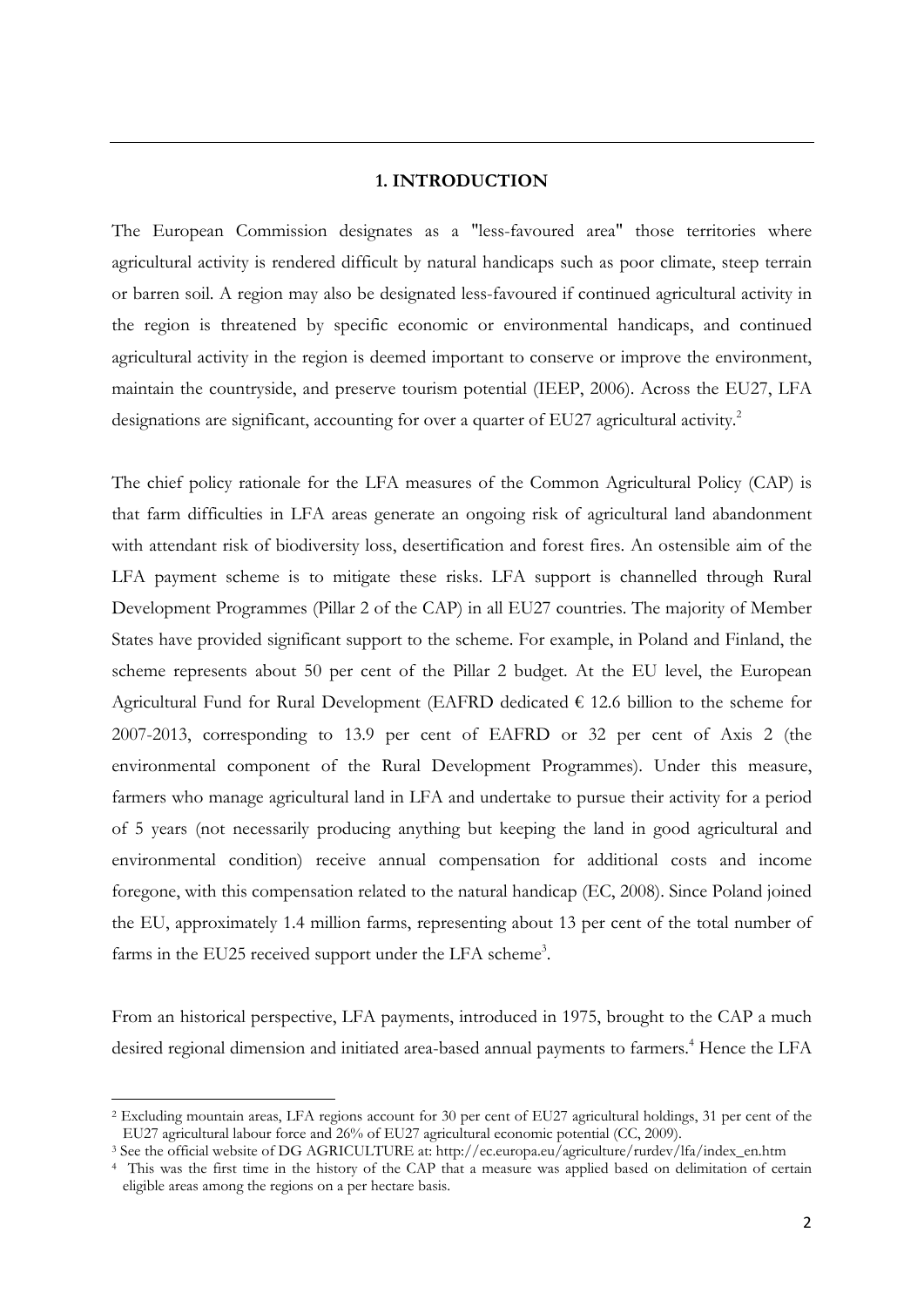#### **1. INTRODUCTION**

The European Commission designates as a "less-favoured area" those territories where agricultural activity is rendered difficult by natural handicaps such as poor climate, steep terrain or barren soil. A region may also be designated less-favoured if continued agricultural activity in the region is threatened by specific economic or environmental handicaps, and continued agricultural activity in the region is deemed important to conserve or improve the environment, maintain the countryside, and preserve tourism potential (IEEP, 2006). Across the EU27, LFA designations are significant, accounting for over a quarter of EU27 agricultural activity.<sup>2</sup>

The chief policy rationale for the LFA measures of the Common Agricultural Policy (CAP) is that farm difficulties in LFA areas generate an ongoing risk of agricultural land abandonment with attendant risk of biodiversity loss, desertification and forest fires. An ostensible aim of the LFA payment scheme is to mitigate these risks. LFA support is channelled through Rural Development Programmes (Pillar 2 of the CAP) in all EU27 countries. The majority of Member States have provided significant support to the scheme. For example, in Poland and Finland, the scheme represents about 50 per cent of the Pillar 2 budget. At the EU level, the European Agricultural Fund for Rural Development (EAFRD dedicated € 12.6 billion to the scheme for 2007-2013, corresponding to 13.9 per cent of EAFRD or 32 per cent of Axis 2 (the environmental component of the Rural Development Programmes). Under this measure, farmers who manage agricultural land in LFA and undertake to pursue their activity for a period of 5 years (not necessarily producing anything but keeping the land in good agricultural and environmental condition) receive annual compensation for additional costs and income foregone, with this compensation related to the natural handicap (EC, 2008). Since Poland joined the EU, approximately 1.4 million farms, representing about 13 per cent of the total number of farms in the EU25 received support under the LFA scheme<sup>3</sup>.

From an historical perspective, LFA payments, introduced in 1975, brought to the CAP a much desired regional dimension and initiated area-based annual payments to farmers.<sup>4</sup> Hence the LFA

<sup>&</sup>lt;sup>2</sup> Excluding mountain areas, LFA regions account for 30 per cent of EU27 agricultural holdings, 31 per cent of the EU27 agricultural labour force and 26% of EU27 agricultural economic potential (CC, 2009).

<sup>&</sup>lt;sup>3</sup> See the official website of DG AGRICULTURE at: http://ec.europa.eu/agriculture/rurdev/lfa/index\_en.htm

<sup>4</sup> This was the first time in the history of the CAP that a measure was applied based on delimitation of certain eligible areas among the regions on a per hectare basis.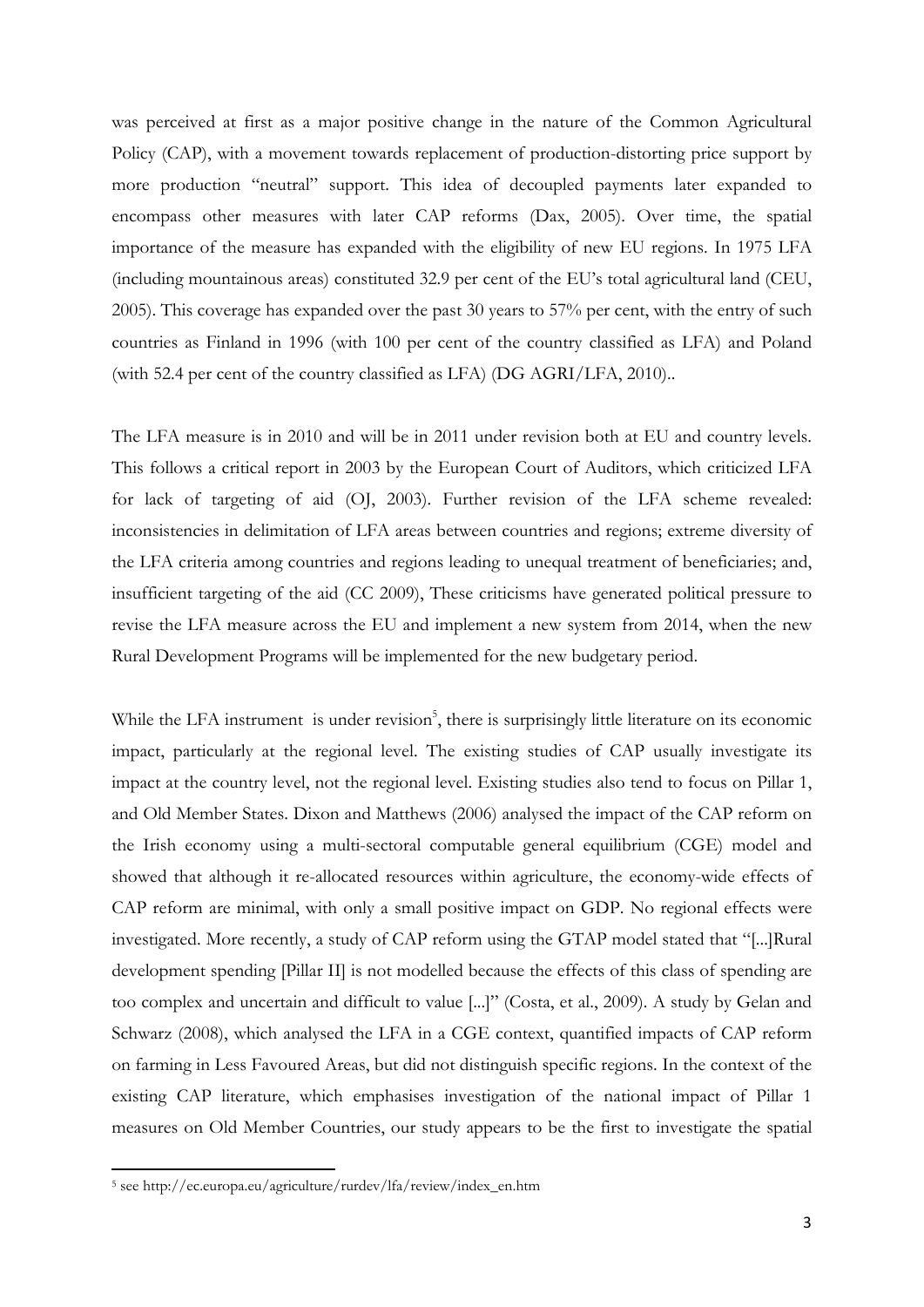was perceived at first as a major positive change in the nature of the Common Agricultural Policy (CAP), with a movement towards replacement of production-distorting price support by more production "neutral" support. This idea of decoupled payments later expanded to encompass other measures with later CAP reforms (Dax, 2005). Over time, the spatial importance of the measure has expanded with the eligibility of new EU regions. In 1975 LFA (including mountainous areas) constituted 32.9 per cent of the EU's total agricultural land (CEU, 2005). This coverage has expanded over the past 30 years to 57% per cent, with the entry of such countries as Finland in 1996 (with 100 per cent of the country classified as LFA) and Poland (with 52.4 per cent of the country classified as LFA) (DG AGRI/LFA, 2010)..

The LFA measure is in 2010 and will be in 2011 under revision both at EU and country levels. This follows a critical report in 2003 by the European Court of Auditors, which criticized LFA for lack of targeting of aid (OJ, 2003). Further revision of the LFA scheme revealed: inconsistencies in delimitation of LFA areas between countries and regions; extreme diversity of the LFA criteria among countries and regions leading to unequal treatment of beneficiaries; and, insufficient targeting of the aid (CC 2009), These criticisms have generated political pressure to revise the LFA measure across the EU and implement a new system from 2014, when the new Rural Development Programs will be implemented for the new budgetary period.

While the LFA instrument is under revision<sup>5</sup>, there is surprisingly little literature on its economic impact, particularly at the regional level. The existing studies of CAP usually investigate its impact at the country level, not the regional level. Existing studies also tend to focus on Pillar 1, and Old Member States. Dixon and Matthews (2006) analysed the impact of the CAP reform on the Irish economy using a multi-sectoral computable general equilibrium (CGE) model and showed that although it re-allocated resources within agriculture, the economy-wide effects of CAP reform are minimal, with only a small positive impact on GDP. No regional effects were investigated. More recently, a study of CAP reform using the GTAP model stated that "[...]Rural development spending [Pillar II] is not modelled because the effects of this class of spending are too complex and uncertain and difficult to value [...]" (Costa, et al., 2009). A study by Gelan and Schwarz (2008), which analysed the LFA in a CGE context, quantified impacts of CAP reform on farming in Less Favoured Areas, but did not distinguish specific regions. In the context of the existing CAP literature, which emphasises investigation of the national impact of Pillar 1 measures on Old Member Countries, our study appears to be the first to investigate the spatial

<sup>5</sup> see http://ec.europa.eu/agriculture/rurdev/lfa/review/index\_en.htm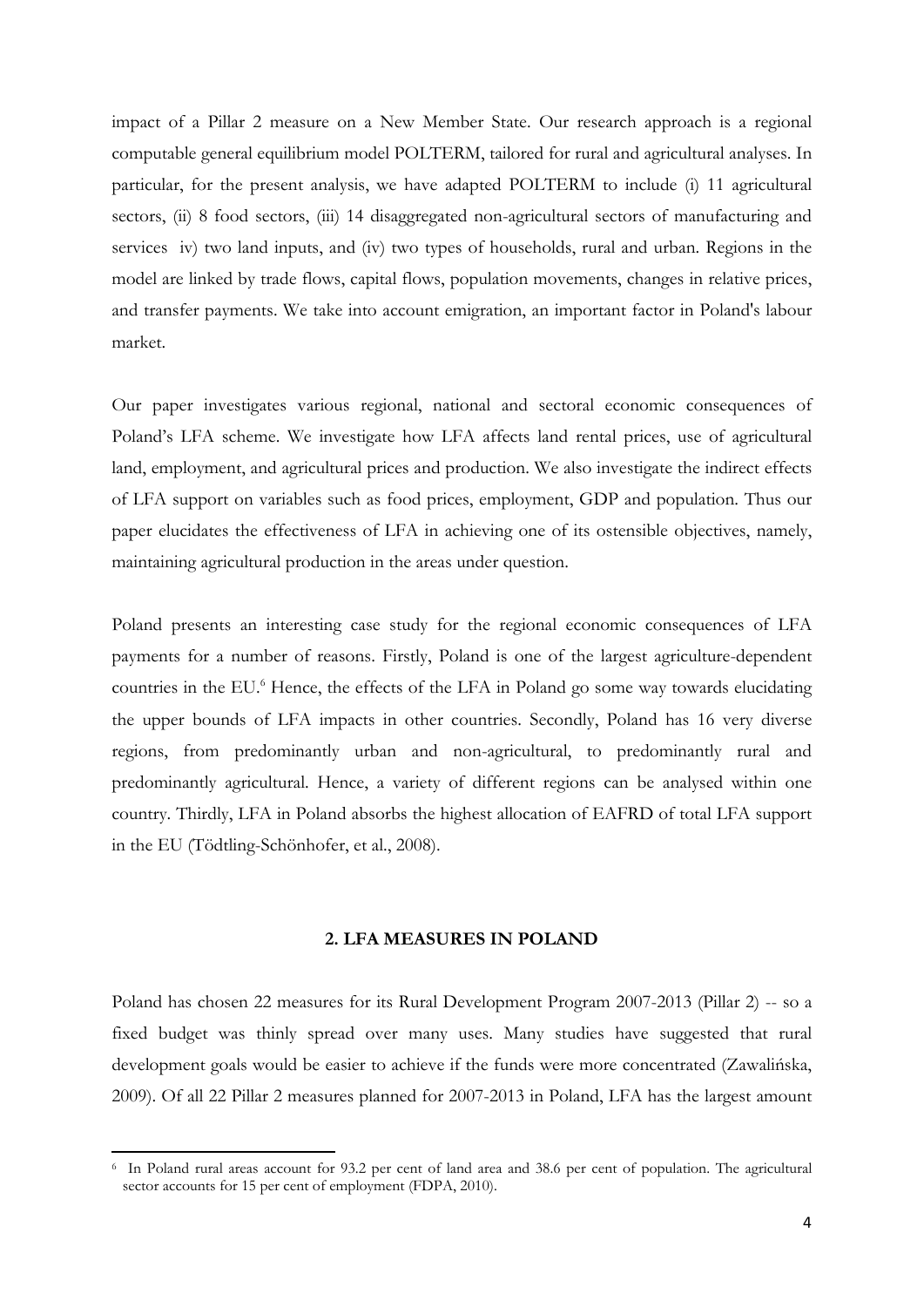impact of a Pillar 2 measure on a New Member State. Our research approach is a regional computable general equilibrium model POLTERM, tailored for rural and agricultural analyses. In particular, for the present analysis, we have adapted POLTERM to include (i) 11 agricultural sectors, (ii) 8 food sectors, (iii) 14 disaggregated non-agricultural sectors of manufacturing and services iv) two land inputs, and (iv) two types of households, rural and urban. Regions in the model are linked by trade flows, capital flows, population movements, changes in relative prices, and transfer payments. We take into account emigration, an important factor in Poland's labour market.

Our paper investigates various regional, national and sectoral economic consequences of Poland's LFA scheme. We investigate how LFA affects land rental prices, use of agricultural land, employment, and agricultural prices and production. We also investigate the indirect effects of LFA support on variables such as food prices, employment, GDP and population. Thus our paper elucidates the effectiveness of LFA in achieving one of its ostensible objectives, namely, maintaining agricultural production in the areas under question.

Poland presents an interesting case study for the regional economic consequences of LFA payments for a number of reasons. Firstly, Poland is one of the largest agriculture-dependent countries in the EU.<sup>6</sup> Hence, the effects of the LFA in Poland go some way towards elucidating the upper bounds of LFA impacts in other countries. Secondly, Poland has 16 very diverse regions, from predominantly urban and non-agricultural, to predominantly rural and predominantly agricultural. Hence, a variety of different regions can be analysed within one country. Thirdly, LFA in Poland absorbs the highest allocation of EAFRD of total LFA support in the EU (Tödtling-Schönhofer, et al., 2008).

#### **2. LFA MEASURES IN POLAND**

Poland has chosen 22 measures for its Rural Development Program 2007-2013 (Pillar 2) -- so a fixed budget was thinly spread over many uses. Many studies have suggested that rural development goals would be easier to achieve if the funds were more concentrated (Zawalińska, 2009). Of all 22 Pillar 2 measures planned for 2007-2013 in Poland, LFA has the largest amount

<sup>6</sup> In Poland rural areas account for 93.2 per cent of land area and 38.6 per cent of population. The agricultural sector accounts for 15 per cent of employment (FDPA, 2010).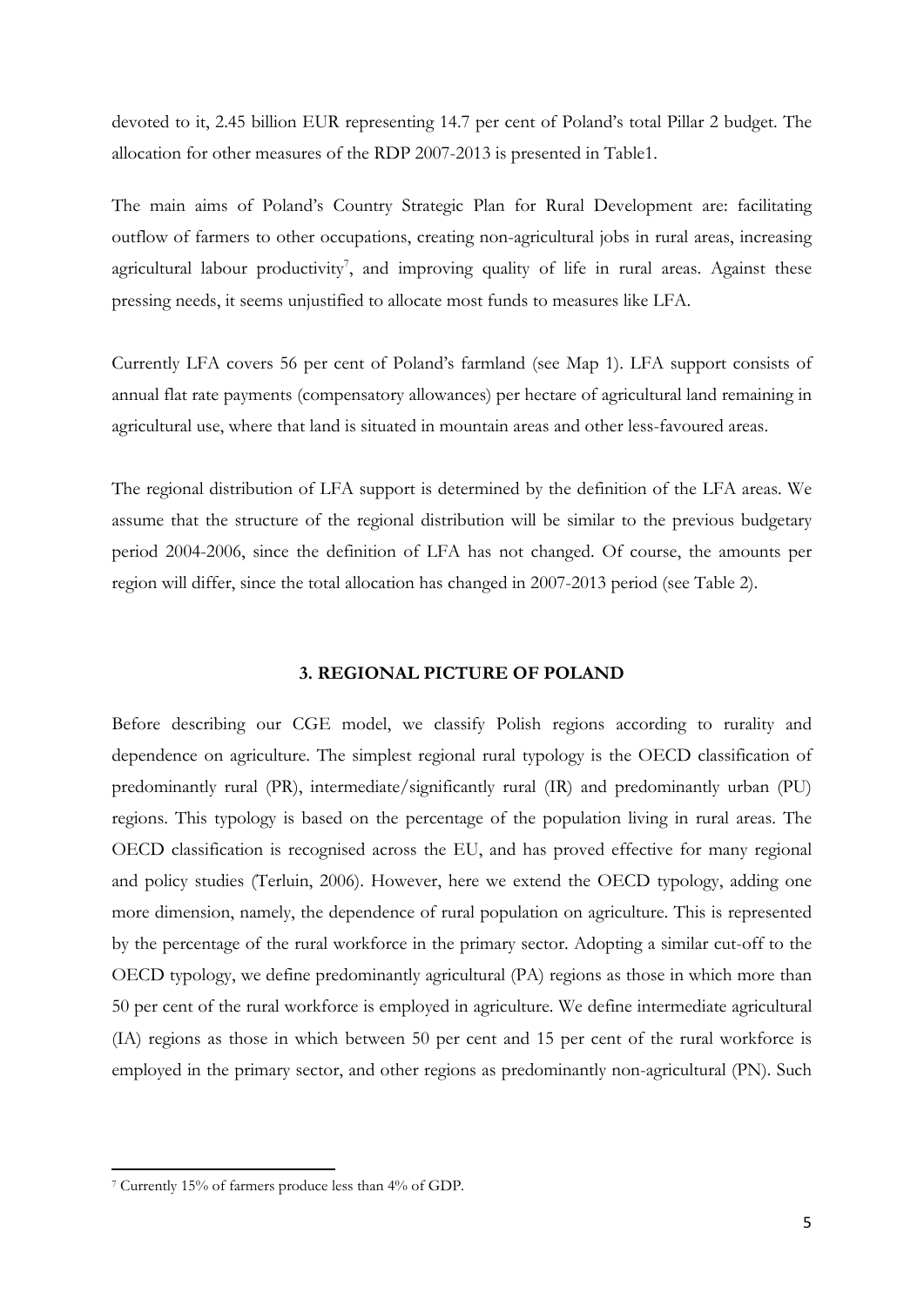devoted to it, 2.45 billion EUR representing 14.7 per cent of Poland's total Pillar 2 budget. The allocation for other measures of the RDP 2007-2013 is presented in Table1.

The main aims of Poland's Country Strategic Plan for Rural Development are: facilitating outflow of farmers to other occupations, creating non-agricultural jobs in rural areas, increasing agricultural labour productivity<sup>7</sup>, and improving quality of life in rural areas. Against these pressing needs, it seems unjustified to allocate most funds to measures like LFA.

Currently LFA covers 56 per cent of Poland's farmland (see Map 1). LFA support consists of annual flat rate payments (compensatory allowances) per hectare of agricultural land remaining in agricultural use, where that land is situated in mountain areas and other less-favoured areas.

The regional distribution of LFA support is determined by the definition of the LFA areas. We assume that the structure of the regional distribution will be similar to the previous budgetary period 2004-2006, since the definition of LFA has not changed. Of course, the amounts per region will differ, since the total allocation has changed in 2007-2013 period (see Table 2).

#### **3. REGIONAL PICTURE OF POLAND**

Before describing our CGE model, we classify Polish regions according to rurality and dependence on agriculture. The simplest regional rural typology is the OECD classification of predominantly rural (PR), intermediate/significantly rural (IR) and predominantly urban (PU) regions. This typology is based on the percentage of the population living in rural areas. The OECD classification is recognised across the EU, and has proved effective for many regional and policy studies (Terluin, 2006). However, here we extend the OECD typology, adding one more dimension, namely, the dependence of rural population on agriculture. This is represented by the percentage of the rural workforce in the primary sector. Adopting a similar cut-off to the OECD typology, we define predominantly agricultural (PA) regions as those in which more than 50 per cent of the rural workforce is employed in agriculture. We define intermediate agricultural (IA) regions as those in which between 50 per cent and 15 per cent of the rural workforce is employed in the primary sector, and other regions as predominantly non-agricultural (PN). Such

<sup>7</sup> Currently 15% of farmers produce less than 4% of GDP.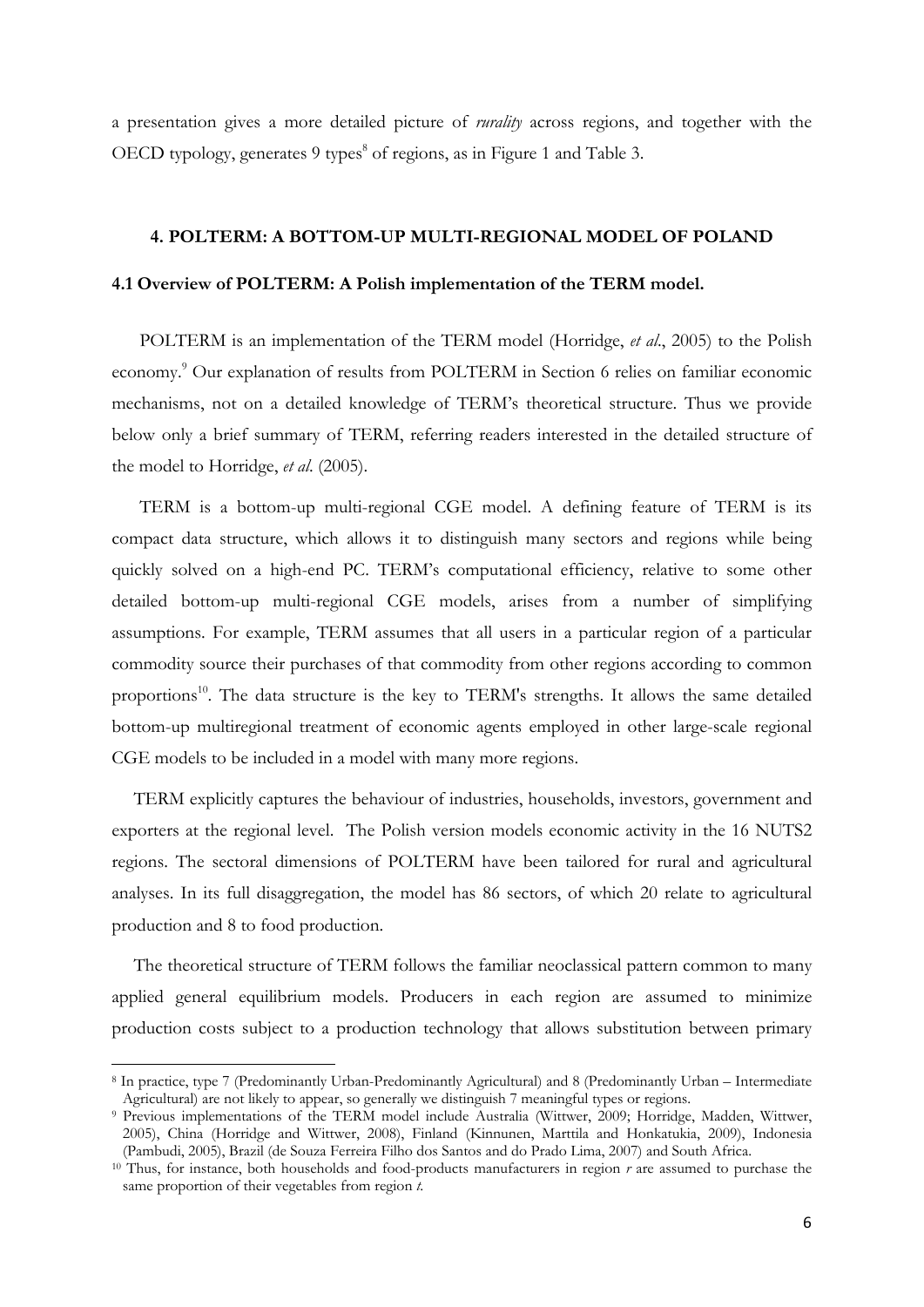a presentation gives a more detailed picture of *rurality* across regions, and together with the OECD typology, generates 9 types<sup>8</sup> of regions, as in Figure 1 and Table 3.

#### **4. POLTERM: A BOTTOM-UP MULTI-REGIONAL MODEL OF POLAND**

#### **4.1 Overview of POLTERM: A Polish implementation of the TERM model.**

POLTERM is an implementation of the TERM model (Horridge, *et al*., 2005) to the Polish economy.<sup>9</sup> Our explanation of results from POLTERM in Section 6 relies on familiar economic mechanisms, not on a detailed knowledge of TERM's theoretical structure. Thus we provide below only a brief summary of TERM, referring readers interested in the detailed structure of the model to Horridge, *et al*. (2005).

TERM is a bottom-up multi-regional CGE model. A defining feature of TERM is its compact data structure, which allows it to distinguish many sectors and regions while being quickly solved on a high-end PC. TERM's computational efficiency, relative to some other detailed bottom-up multi-regional CGE models, arises from a number of simplifying assumptions. For example, TERM assumes that all users in a particular region of a particular commodity source their purchases of that commodity from other regions according to common proportions<sup>10</sup>. The data structure is the key to TERM's strengths. It allows the same detailed bottom-up multiregional treatment of economic agents employed in other large-scale regional CGE models to be included in a model with many more regions.

TERM explicitly captures the behaviour of industries, households, investors, government and exporters at the regional level. The Polish version models economic activity in the 16 NUTS2 regions. The sectoral dimensions of POLTERM have been tailored for rural and agricultural analyses. In its full disaggregation, the model has 86 sectors, of which 20 relate to agricultural production and 8 to food production.

The theoretical structure of TERM follows the familiar neoclassical pattern common to many applied general equilibrium models. Producers in each region are assumed to minimize production costs subject to a production technology that allows substitution between primary

<sup>8</sup> In practice, type 7 (Predominantly Urban-Predominantly Agricultural) and 8 (Predominantly Urban – Intermediate

<sup>&</sup>lt;sup>9</sup> Previous implementations of the TERM model include Australia (Wittwer, 2009; Horridge, Madden, Wittwer, 2005), China (Horridge and Wittwer, 2008), Finland (Kinnunen, Marttila and Honkatukia, 2009), Indonesia

<sup>&</sup>lt;sup>10</sup> Thus, for instance, both households and food-products manufacturers in region *r* are assumed to purchase the same proportion of their vegetables from region *t*.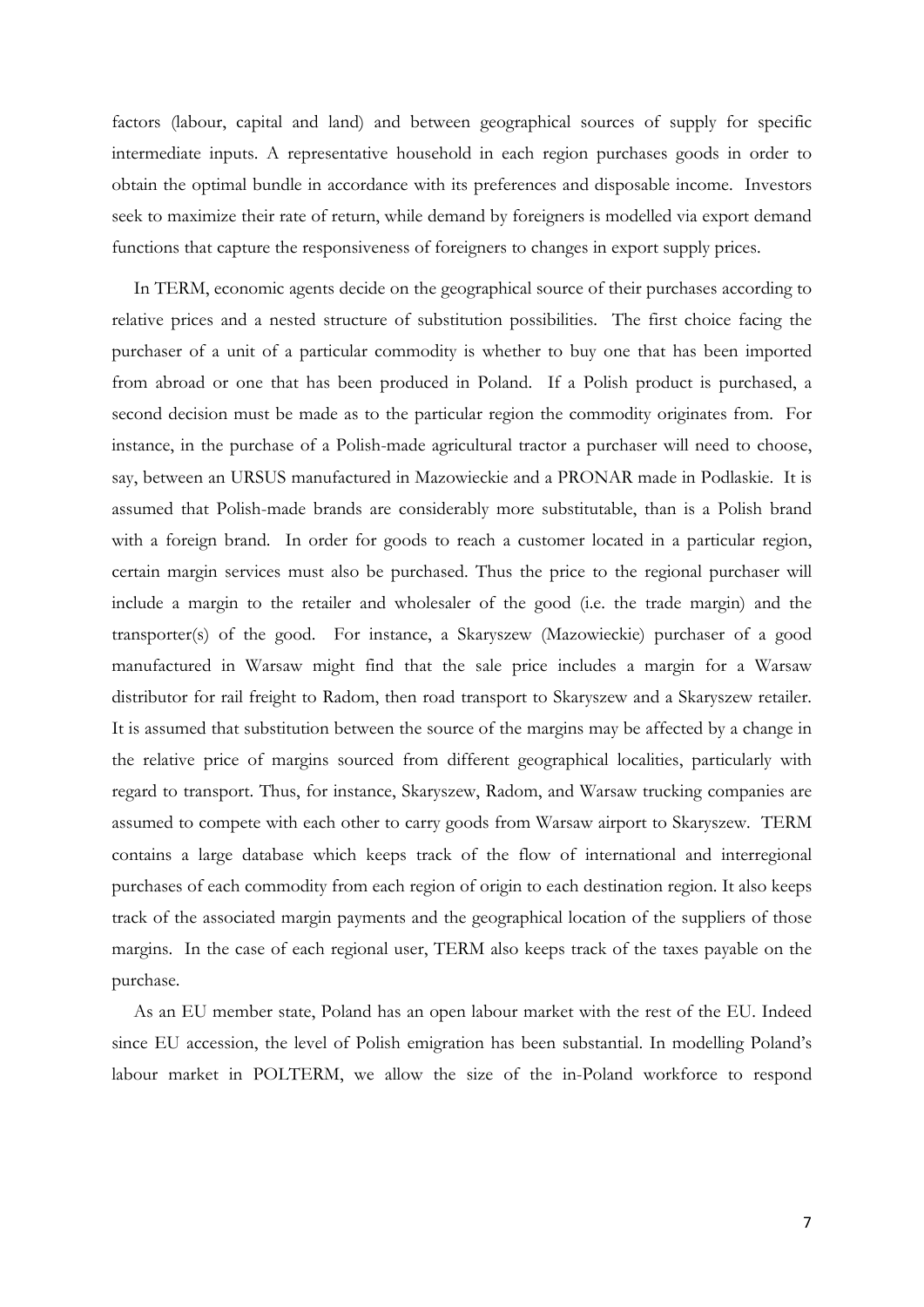factors (labour, capital and land) and between geographical sources of supply for specific intermediate inputs. A representative household in each region purchases goods in order to obtain the optimal bundle in accordance with its preferences and disposable income. Investors seek to maximize their rate of return, while demand by foreigners is modelled via export demand functions that capture the responsiveness of foreigners to changes in export supply prices.

In TERM, economic agents decide on the geographical source of their purchases according to relative prices and a nested structure of substitution possibilities. The first choice facing the purchaser of a unit of a particular commodity is whether to buy one that has been imported from abroad or one that has been produced in Poland. If a Polish product is purchased, a second decision must be made as to the particular region the commodity originates from. For instance, in the purchase of a Polish-made agricultural tractor a purchaser will need to choose, say, between an URSUS manufactured in Mazowieckie and a PRONAR made in Podlaskie. It is assumed that Polish-made brands are considerably more substitutable, than is a Polish brand with a foreign brand. In order for goods to reach a customer located in a particular region, certain margin services must also be purchased. Thus the price to the regional purchaser will include a margin to the retailer and wholesaler of the good (i.e. the trade margin) and the transporter(s) of the good. For instance, a Skaryszew (Mazowieckie) purchaser of a good manufactured in Warsaw might find that the sale price includes a margin for a Warsaw distributor for rail freight to Radom, then road transport to Skaryszew and a Skaryszew retailer. It is assumed that substitution between the source of the margins may be affected by a change in the relative price of margins sourced from different geographical localities, particularly with regard to transport. Thus, for instance, Skaryszew, Radom, and Warsaw trucking companies are assumed to compete with each other to carry goods from Warsaw airport to Skaryszew. TERM contains a large database which keeps track of the flow of international and interregional purchases of each commodity from each region of origin to each destination region. It also keeps track of the associated margin payments and the geographical location of the suppliers of those margins. In the case of each regional user, TERM also keeps track of the taxes payable on the purchase.

As an EU member state, Poland has an open labour market with the rest of the EU. Indeed since EU accession, the level of Polish emigration has been substantial. In modelling Poland's labour market in POLTERM, we allow the size of the in-Poland workforce to respond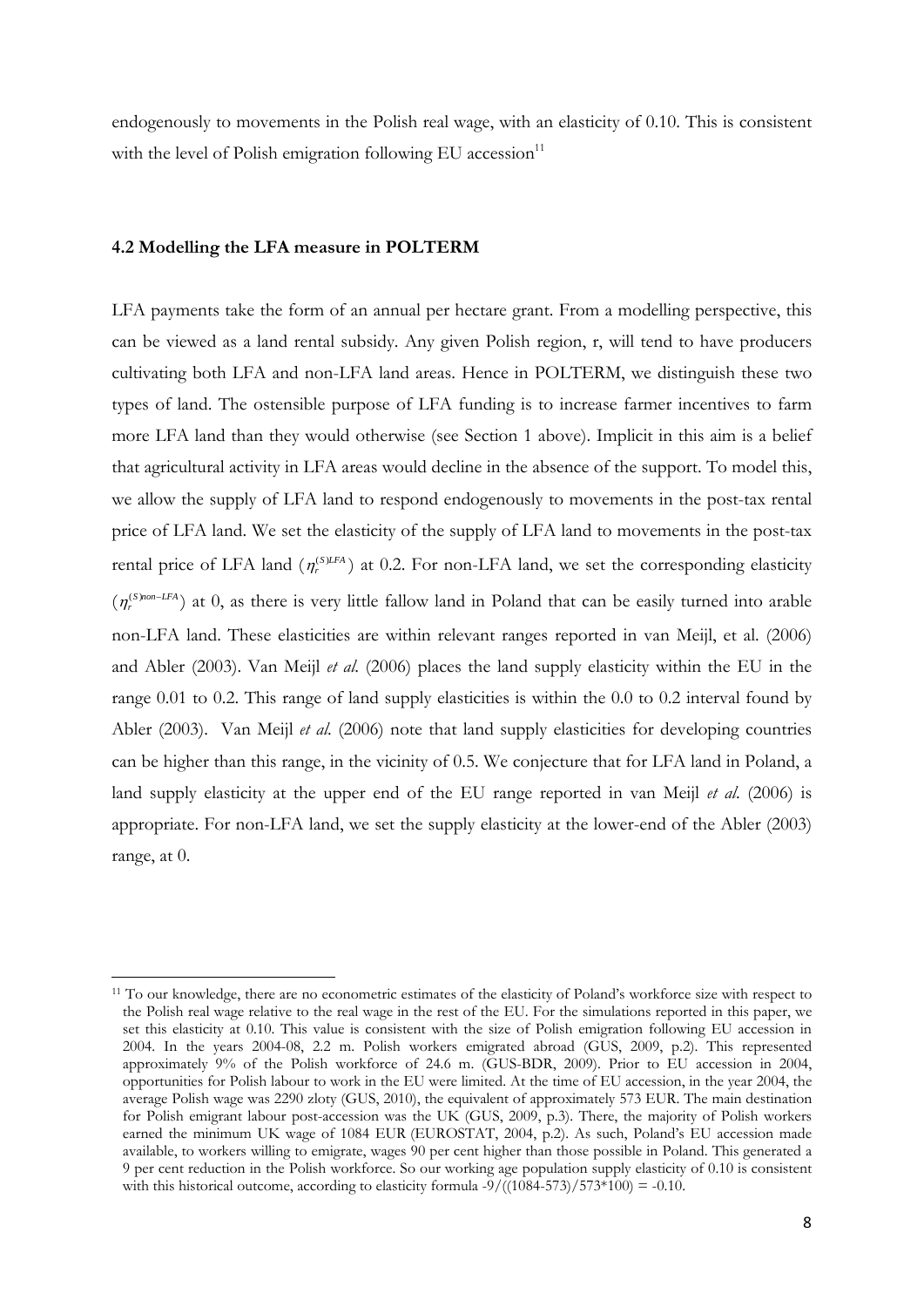endogenously to movements in the Polish real wage, with an elasticity of 0.10. This is consistent with the level of Polish emigration following EU accession $11$ 

#### **4.2 Modelling the LFA measure in POLTERM**

LFA payments take the form of an annual per hectare grant. From a modelling perspective, this can be viewed as a land rental subsidy. Any given Polish region, r, will tend to have producers cultivating both LFA and non-LFA land areas. Hence in POLTERM, we distinguish these two types of land. The ostensible purpose of LFA funding is to increase farmer incentives to farm more LFA land than they would otherwise (see Section 1 above). Implicit in this aim is a belief that agricultural activity in LFA areas would decline in the absence of the support. To model this, we allow the supply of LFA land to respond endogenously to movements in the post-tax rental price of LFA land. We set the elasticity of the supply of LFA land to movements in the post-tax rental price of LFA land  $(\eta_r^{(S)LFA})$  at 0.2. For non-LFA land, we set the corresponding elasticity  $(\eta_r^{(S)non-LFA})$  at 0, as there is very little fallow land in Poland that can be easily turned into arable non-LFA land. These elasticities are within relevant ranges reported in van Meijl, et al. (2006) and Abler (2003). Van Meijl *et al*. (2006) places the land supply elasticity within the EU in the range 0.01 to 0.2. This range of land supply elasticities is within the 0.0 to 0.2 interval found by Abler (2003). Van Meijl *et al*. (2006) note that land supply elasticities for developing countries can be higher than this range, in the vicinity of 0.5. We conjecture that for LFA land in Poland, a land supply elasticity at the upper end of the EU range reported in van Meijl *et al*. (2006) is appropriate. For non-LFA land, we set the supply elasticity at the lower-end of the Abler (2003) range, at 0.

<sup>11</sup> To our knowledge, there are no econometric estimates of the elasticity of Poland's workforce size with respect to the Polish real wage relative to the real wage in the rest of the EU. For the simulations reported in this paper, we set this elasticity at 0.10. This value is consistent with the size of Polish emigration following EU accession in 2004. In the years 2004-08, 2.2 m. Polish workers emigrated abroad (GUS, 2009, p.2). This represented approximately 9% of the Polish workforce of 24.6 m. (GUS-BDR, 2009). Prior to EU accession in 2004, opportunities for Polish labour to work in the EU were limited. At the time of EU accession, in the year 2004, the average Polish wage was 2290 zloty (GUS, 2010), the equivalent of approximately 573 EUR. The main destination for Polish emigrant labour post-accession was the UK (GUS, 2009, p.3). There, the majority of Polish workers earned the minimum UK wage of 1084 EUR (EUROSTAT, 2004, p.2). As such, Poland's EU accession made available, to workers willing to emigrate, wages 90 per cent higher than those possible in Poland. This generated a 9 per cent reduction in the Polish workforce. So our working age population supply elasticity of 0.10 is consistent with this historical outcome, according to elasticity formula  $-9/((1084-573)/573*100) = -0.10$ .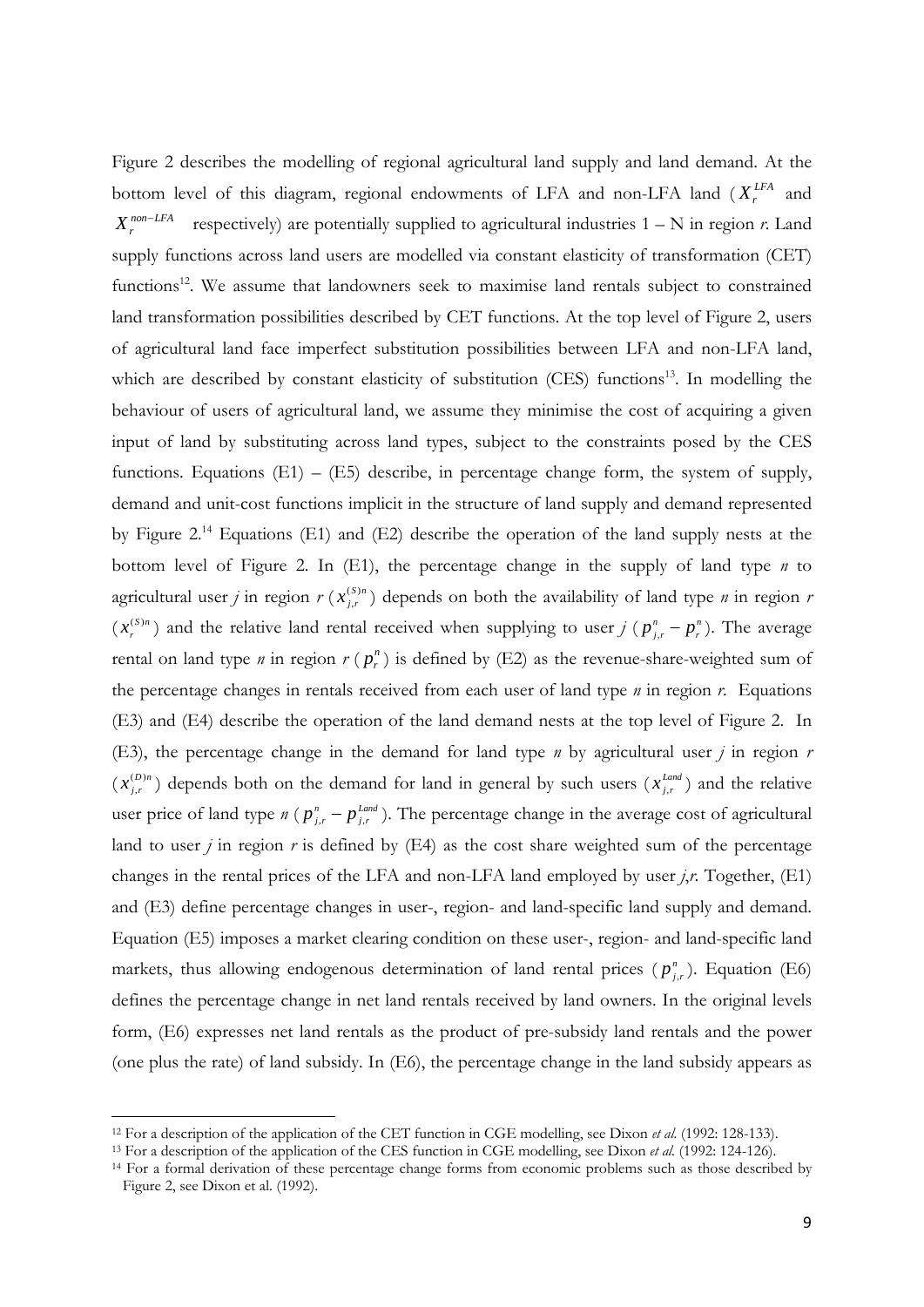Figure 2 describes the modelling of regional agricultural land supply and land demand. At the bottom level of this diagram, regional endowments of LFA and non-LFA land  $(X_r^{LFA}$  and  $X^{non-LFA}_{r}$ respectively) are potentially supplied to agricultural industries  $1 - N$  in region  $r$ . Land supply functions across land users are modelled via constant elasticity of transformation (CET) functions<sup>12</sup>. We assume that landowners seek to maximise land rentals subject to constrained land transformation possibilities described by CET functions. At the top level of Figure 2, users of agricultural land face imperfect substitution possibilities between LFA and non-LFA land, which are described by constant elasticity of substitution (CES) functions<sup>13</sup>. In modelling the behaviour of users of agricultural land, we assume they minimise the cost of acquiring a given input of land by substituting across land types, subject to the constraints posed by the CES functions. Equations  $(E1) - (E5)$  describe, in percentage change form, the system of supply, demand and unit-cost functions implicit in the structure of land supply and demand represented by Figure 2.14 Equations (E1) and (E2) describe the operation of the land supply nests at the bottom level of Figure 2. In (E1), the percentage change in the supply of land type *n* to agricultural user *j* in region  $r(x_{j,r}^{(s)n})$  depends on both the availability of land type *n* in region *r*  $(x_r^{(s)n})$  and the relative land rental received when supplying to user *j* ( $p_{j,r}^n - p_r^n$ ). The average rental on land type *n* in region  $r(p_r^n)$  is defined by (E2) as the revenue-share-weighted sum of the percentage changes in rentals received from each user of land type *n* in region *r*. Equations (E3) and (E4) describe the operation of the land demand nests at the top level of Figure 2. In (E3), the percentage change in the demand for land type *n* by agricultural user *j* in region *r*  $(x_{j,r}^{(D)n})$  depends both on the demand for land in general by such users  $(x_{j,r}^{Land})$  and the relative user price of land type  $n ( p_{j,r}^n - p_{j,r}^{land} )$ . The percentage change in the average cost of agricultural land to user  $j$  in region  $r$  is defined by  $(E4)$  as the cost share weighted sum of the percentage changes in the rental prices of the LFA and non-LFA land employed by user *j*,*r*. Together, (E1) and (E3) define percentage changes in user-, region- and land-specific land supply and demand. Equation (E5) imposes a market clearing condition on these user-, region- and land-specific land markets, thus allowing endogenous determination of land rental prices  $(p_{j,r}^n)$ . Equation (E6) defines the percentage change in net land rentals received by land owners. In the original levels form, (E6) expresses net land rentals as the product of pre-subsidy land rentals and the power (one plus the rate) of land subsidy. In (E6), the percentage change in the land subsidy appears as

<sup>&</sup>lt;sup>12</sup> For a description of the application of the CET function in CGE modelling, see Dixon *et al.* (1992: 128-133).<br><sup>13</sup> For a description of the application of the CES function in CGE modelling, see Dixon *et al.* (1992:

Figure 2, see Dixon et al. (1992).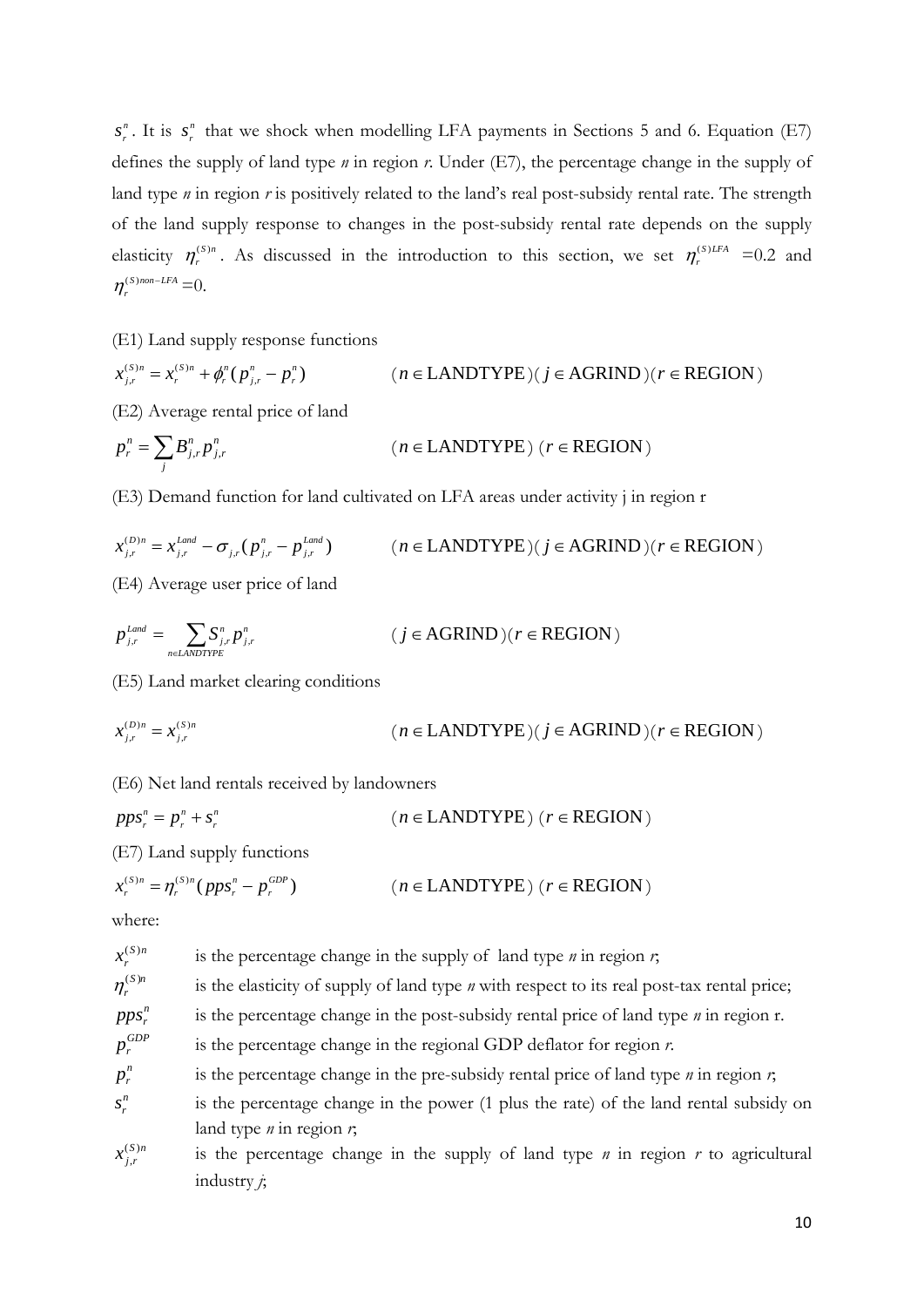$s_r^n$ . It is  $s_r^n$  that we shock when modelling LFA payments in Sections 5 and 6. Equation (E7) defines the supply of land type *n* in region *r*. Under (E7), the percentage change in the supply of land type *n* in region *r* is positively related to the land's real post-subsidy rental rate. The strength of the land supply response to changes in the post-subsidy rental rate depends on the supply elasticity  $\eta_r^{(S)H}$ . As discussed in the introduction to this section, we set  $\eta_r^{(S)LFA}$  =0.2 and *S non LFA*  $\eta_r^{(S)non-LFA} = 0.$ 

(E1) Land supply response functions

$$
x_{j,r}^{(S)n} = x_r^{(S)n} + \phi_r^n (p_{j,r}^n - p_r^n)
$$
 (*n* ∈ LANDTYPE)(*j* ∈ AGRIND)(*r* ∈ REGION)  
(E2) Average rental price of land

$$
p_r^n = \sum_j B_{j,r}^n p_{j,r}^n \qquad (n \in \text{LANDTYPE}) \ (r \in \text{REGION})
$$

(E3) Demand function for land cultivated on LFA areas under activity j in region r

$$
x_{j,r}^{(D)n} = x_{j,r}^{Land} - \sigma_{j,r}(p_{j,r}^n - p_{j,r}^{Land}) \qquad (n \in \text{LANDTYPE}) (j \in \text{AGRIND}) (r \in \text{REGION})
$$

(E4) Average user price of land

$$
p_{j,r}^{Land} = \sum_{n \in LANDTYPE} S_{j,r}^n p_{j,r}^n
$$
 (*j* ∈ AGRIND)(*r* ∈ REGION)

(E5) Land market clearing conditions

$$
x_{j,r}^{(D)n} = x_{j,r}^{(S)n}
$$
 (*n* ∈ LANDTYPE)(*j* ∈ AGRIND)(*r* ∈ REGION)

(E6) Net land rentals received by landowners

*n r n r n*  $(n \in$  LANDTYPE)  $(r \in$  REGION  $)$ 

(E7) Land supply functions

$$
x_r^{(S)n} = \eta_r^{(S)n} (pps_r^n - p_r^{GDP})
$$
 (*n* ∈ LANDTYPE) (*r* ∈ REGION)

where:

 $x_{r}^{(S)n}$ is the percentage change in the supply of land type  $n$  in region  $r$ ;  $\eta_*^{(S)n}$ is the elasticity of supply of land type *n* with respect to its real post-tax rental price;  $pps$ <sup>n</sup> *is the percentage change in the post-subsidy rental price of land type <i>n* in region *r*.  $p_r^{GDP}$ *is the percentage change in the regional GDP deflator for region <i>r*.  $p_r^n$ is the percentage change in the pre-subsidy rental price of land type *n* in region *r*;  $S^n$ is the percentage change in the power (1 plus the rate) of the land rental subsidy on land type *n* in region *r*;  $(S)$ , *S n is the percentage change in the supply of land type*  $n$  *in region*  $r$  *to agricultural* industry *j*;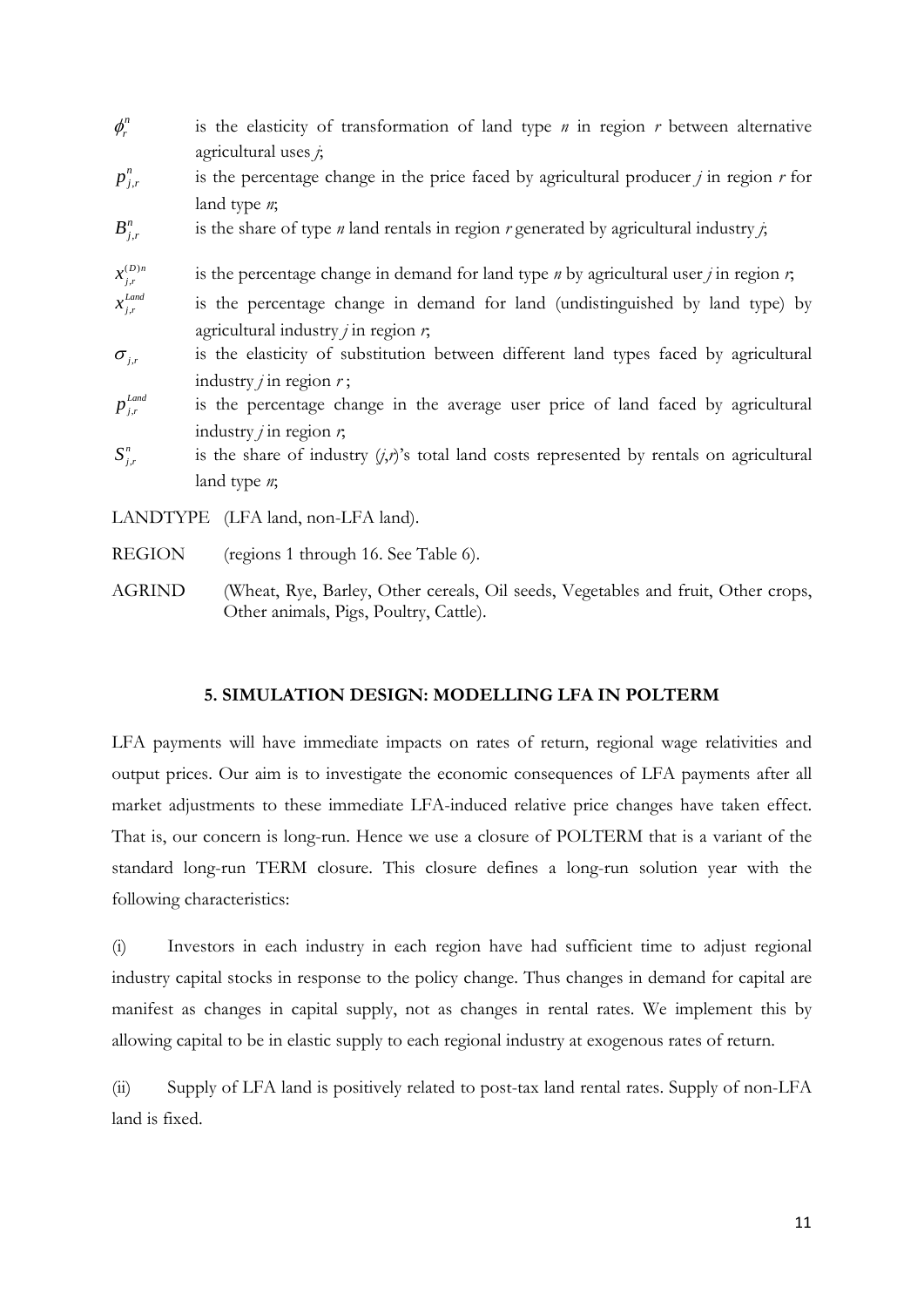- $\phi_r^n$ *<sup>r</sup>* is the elasticity of transformation of land type *n* in region *r* between alternative agricultural uses *j*;
- , *n* is the percentage change in the price faced by agricultural producer  $j$  in region  $r$  for land type *n*;
- $B_{i,r}^n$ is the share of type *n* land rentals in region *r* generated by agricultural industry  $\dot{r}$ ;
- $\chi^{(D)n}_{j,r}$ is the percentage change in demand for land type  $n$  by agricultural user *j* in region  $r$ ;
- $\chi_{j,r}^{Land}$ *is the percentage change in demand for land (undistinguished by land type)* by agricultural industry *j* in region *r*;
- $\sigma_{i,r}$  is the elasticity of substitution between different land types faced by agricultural industry *j* in region *r* ;
- $p_{j,r}^{Land}$  is the percentage change in the average user price of land faced by agricultural industry *j* in region *r*;
- $S_{i}^{n}$  is the share of industry  $(j, r)$ 's total land costs represented by rentals on agricultural land type *n*;
- LANDTYPE (LFA land, non-LFA land).
- REGION (regions 1 through 16. See Table 6).
- AGRIND (Wheat, Rye, Barley, Other cereals, Oil seeds, Vegetables and fruit, Other crops, Other animals, Pigs, Poultry, Cattle).

#### **5. SIMULATION DESIGN: MODELLING LFA IN POLTERM**

LFA payments will have immediate impacts on rates of return, regional wage relativities and output prices. Our aim is to investigate the economic consequences of LFA payments after all market adjustments to these immediate LFA-induced relative price changes have taken effect. That is, our concern is long-run. Hence we use a closure of POLTERM that is a variant of the standard long-run TERM closure. This closure defines a long-run solution year with the following characteristics:

(i) Investors in each industry in each region have had sufficient time to adjust regional industry capital stocks in response to the policy change. Thus changes in demand for capital are manifest as changes in capital supply, not as changes in rental rates. We implement this by allowing capital to be in elastic supply to each regional industry at exogenous rates of return.

(ii) Supply of LFA land is positively related to post-tax land rental rates. Supply of non-LFA land is fixed.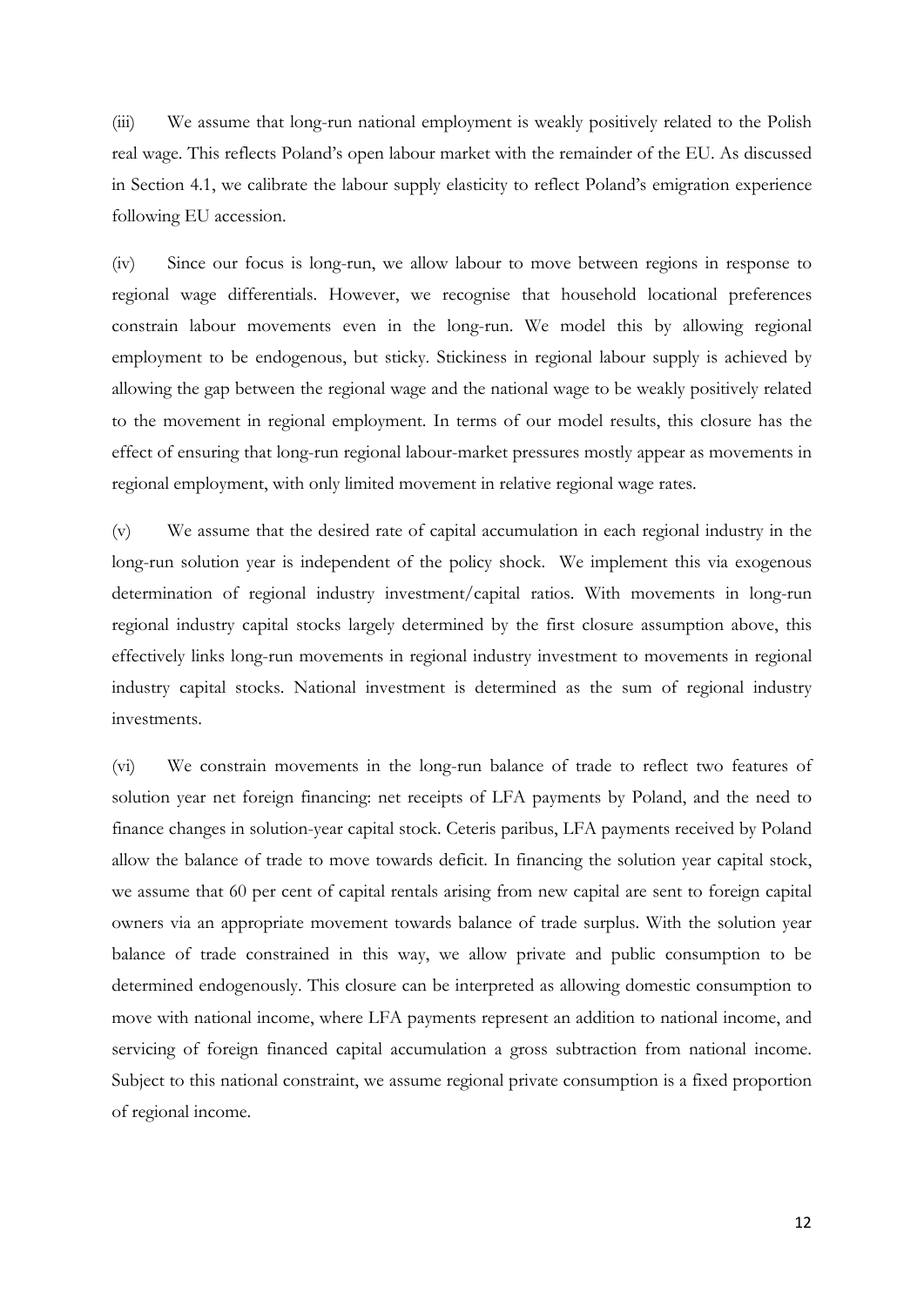(iii) We assume that long-run national employment is weakly positively related to the Polish real wage. This reflects Poland's open labour market with the remainder of the EU. As discussed in Section 4.1, we calibrate the labour supply elasticity to reflect Poland's emigration experience following EU accession.

(iv) Since our focus is long-run, we allow labour to move between regions in response to regional wage differentials. However, we recognise that household locational preferences constrain labour movements even in the long-run. We model this by allowing regional employment to be endogenous, but sticky. Stickiness in regional labour supply is achieved by allowing the gap between the regional wage and the national wage to be weakly positively related to the movement in regional employment. In terms of our model results, this closure has the effect of ensuring that long-run regional labour-market pressures mostly appear as movements in regional employment, with only limited movement in relative regional wage rates.

(v) We assume that the desired rate of capital accumulation in each regional industry in the long-run solution year is independent of the policy shock. We implement this via exogenous determination of regional industry investment/capital ratios. With movements in long-run regional industry capital stocks largely determined by the first closure assumption above, this effectively links long-run movements in regional industry investment to movements in regional industry capital stocks. National investment is determined as the sum of regional industry investments.

(vi) We constrain movements in the long-run balance of trade to reflect two features of solution year net foreign financing: net receipts of LFA payments by Poland, and the need to finance changes in solution-year capital stock. Ceteris paribus, LFA payments received by Poland allow the balance of trade to move towards deficit. In financing the solution year capital stock, we assume that 60 per cent of capital rentals arising from new capital are sent to foreign capital owners via an appropriate movement towards balance of trade surplus. With the solution year balance of trade constrained in this way, we allow private and public consumption to be determined endogenously. This closure can be interpreted as allowing domestic consumption to move with national income, where LFA payments represent an addition to national income, and servicing of foreign financed capital accumulation a gross subtraction from national income. Subject to this national constraint, we assume regional private consumption is a fixed proportion of regional income.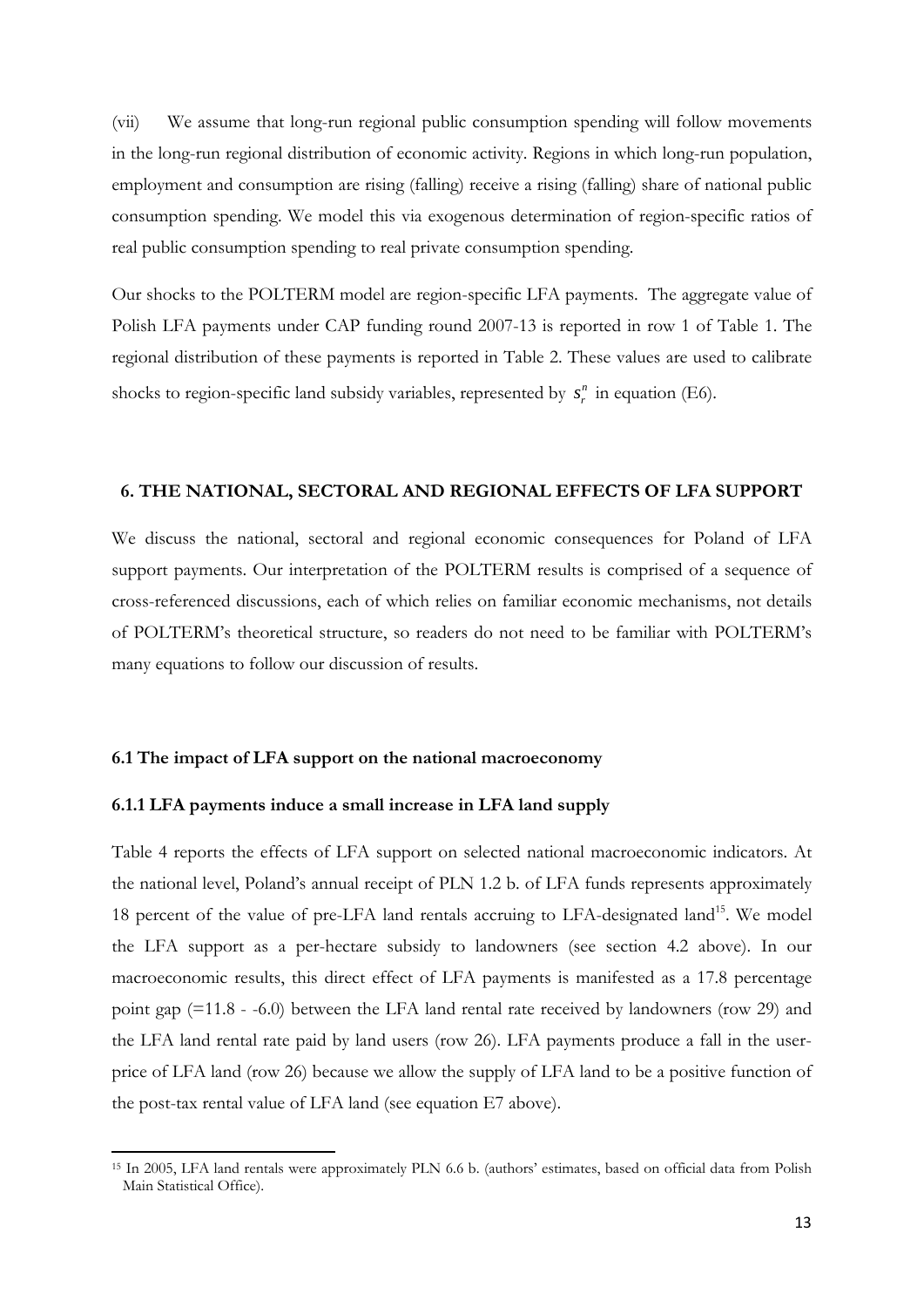(vii) We assume that long-run regional public consumption spending will follow movements in the long-run regional distribution of economic activity. Regions in which long-run population, employment and consumption are rising (falling) receive a rising (falling) share of national public consumption spending. We model this via exogenous determination of region-specific ratios of real public consumption spending to real private consumption spending.

Our shocks to the POLTERM model are region-specific LFA payments. The aggregate value of Polish LFA payments under CAP funding round 2007-13 is reported in row 1 of Table 1. The regional distribution of these payments is reported in Table 2. These values are used to calibrate shocks to region-specific land subsidy variables, represented by  $s_r^n$  in equation (E6).

#### **6. THE NATIONAL, SECTORAL AND REGIONAL EFFECTS OF LFA SUPPORT**

We discuss the national, sectoral and regional economic consequences for Poland of LFA support payments. Our interpretation of the POLTERM results is comprised of a sequence of cross-referenced discussions, each of which relies on familiar economic mechanisms, not details of POLTERM's theoretical structure, so readers do not need to be familiar with POLTERM's many equations to follow our discussion of results.

#### **6.1 The impact of LFA support on the national macroeconomy**

#### **6.1.1 LFA payments induce a small increase in LFA land supply**

Table 4 reports the effects of LFA support on selected national macroeconomic indicators. At the national level, Poland's annual receipt of PLN 1.2 b. of LFA funds represents approximately 18 percent of the value of pre-LFA land rentals accruing to LFA-designated land<sup>15</sup>. We model the LFA support as a per-hectare subsidy to landowners (see section 4.2 above). In our macroeconomic results, this direct effect of LFA payments is manifested as a 17.8 percentage point gap (=11.8 - -6.0) between the LFA land rental rate received by landowners (row 29) and the LFA land rental rate paid by land users (row 26). LFA payments produce a fall in the userprice of LFA land (row 26) because we allow the supply of LFA land to be a positive function of the post-tax rental value of LFA land (see equation E7 above).

<sup>15</sup> In 2005, LFA land rentals were approximately PLN 6.6 b. (authors' estimates, based on official data from Polish Main Statistical Office).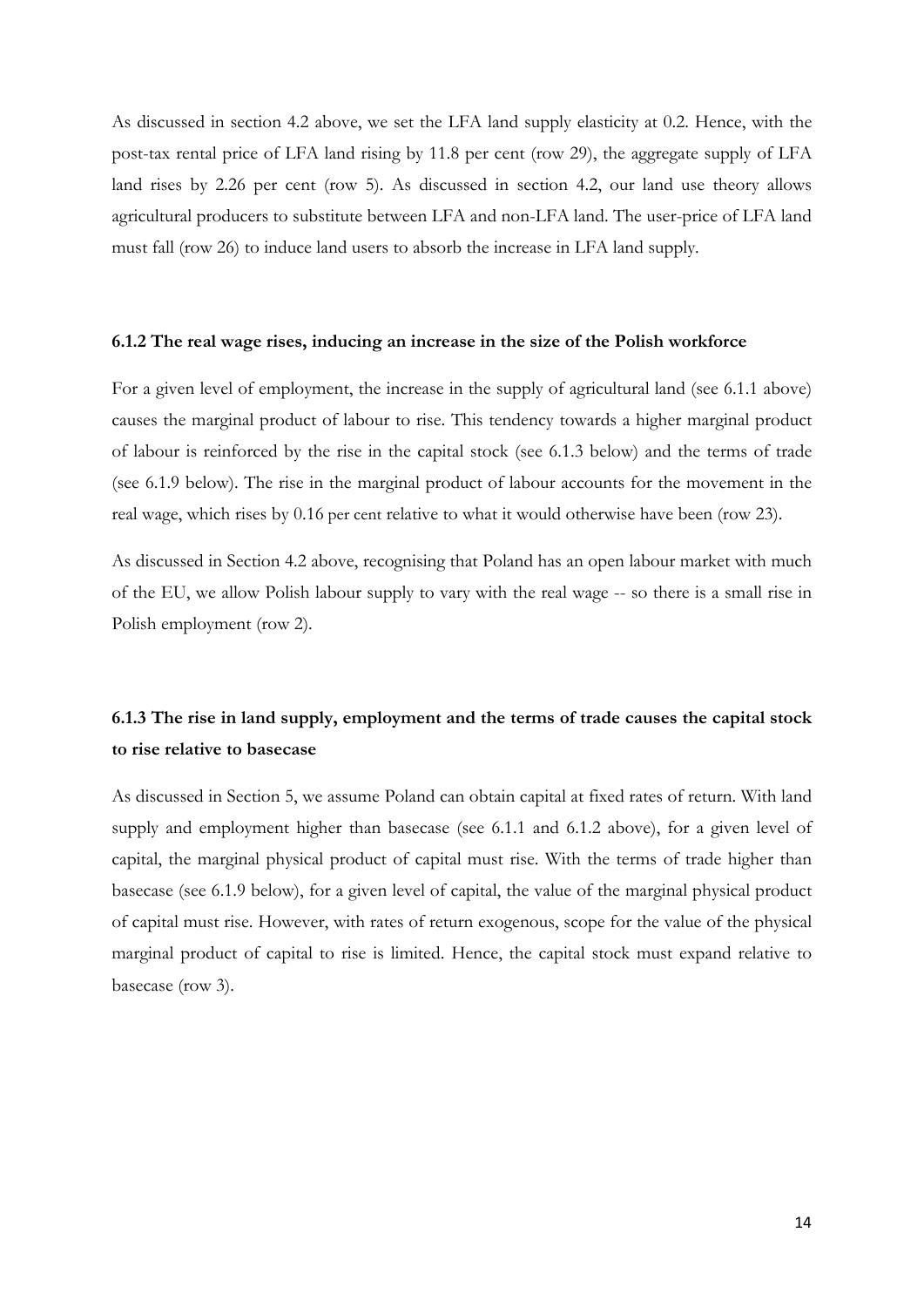As discussed in section 4.2 above, we set the LFA land supply elasticity at 0.2. Hence, with the post-tax rental price of LFA land rising by 11.8 per cent (row 29), the aggregate supply of LFA land rises by 2.26 per cent (row 5). As discussed in section 4.2, our land use theory allows agricultural producers to substitute between LFA and non-LFA land. The user-price of LFA land must fall (row 26) to induce land users to absorb the increase in LFA land supply.

#### **6.1.2 The real wage rises, inducing an increase in the size of the Polish workforce**

For a given level of employment, the increase in the supply of agricultural land (see 6.1.1 above) causes the marginal product of labour to rise. This tendency towards a higher marginal product of labour is reinforced by the rise in the capital stock (see 6.1.3 below) and the terms of trade (see 6.1.9 below). The rise in the marginal product of labour accounts for the movement in the real wage, which rises by 0.16 per cent relative to what it would otherwise have been (row 23).

As discussed in Section 4.2 above, recognising that Poland has an open labour market with much of the EU, we allow Polish labour supply to vary with the real wage -- so there is a small rise in Polish employment (row 2).

## **6.1.3 The rise in land supply, employment and the terms of trade causes the capital stock to rise relative to basecase**

As discussed in Section 5, we assume Poland can obtain capital at fixed rates of return. With land supply and employment higher than basecase (see 6.1.1 and 6.1.2 above), for a given level of capital, the marginal physical product of capital must rise. With the terms of trade higher than basecase (see 6.1.9 below), for a given level of capital, the value of the marginal physical product of capital must rise. However, with rates of return exogenous, scope for the value of the physical marginal product of capital to rise is limited. Hence, the capital stock must expand relative to basecase (row 3).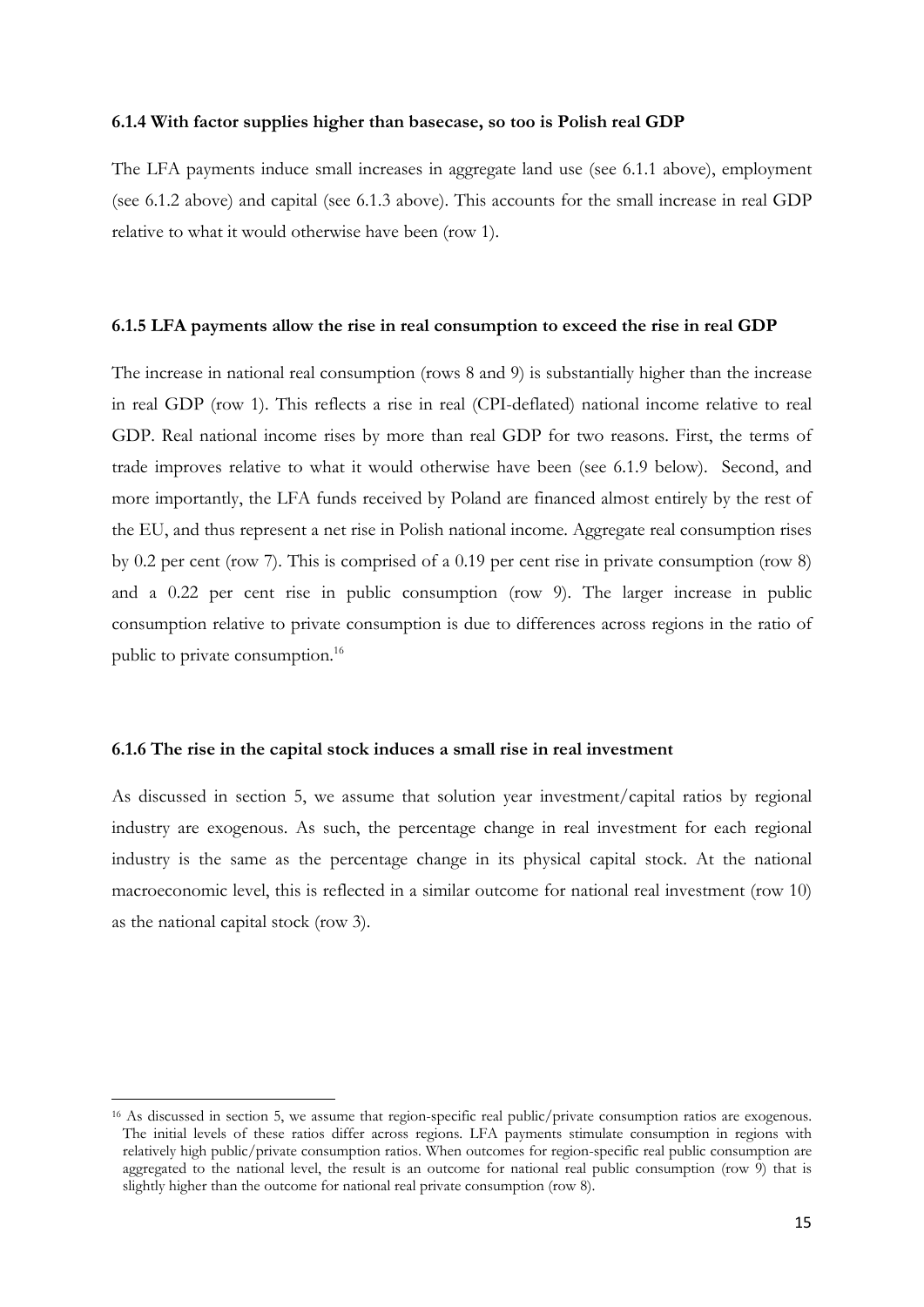#### **6.1.4 With factor supplies higher than basecase, so too is Polish real GDP**

The LFA payments induce small increases in aggregate land use (see 6.1.1 above), employment (see 6.1.2 above) and capital (see 6.1.3 above). This accounts for the small increase in real GDP relative to what it would otherwise have been (row 1).

#### **6.1.5 LFA payments allow the rise in real consumption to exceed the rise in real GDP**

The increase in national real consumption (rows 8 and 9) is substantially higher than the increase in real GDP (row 1). This reflects a rise in real (CPI-deflated) national income relative to real GDP. Real national income rises by more than real GDP for two reasons. First, the terms of trade improves relative to what it would otherwise have been (see 6.1.9 below). Second, and more importantly, the LFA funds received by Poland are financed almost entirely by the rest of the EU, and thus represent a net rise in Polish national income. Aggregate real consumption rises by 0.2 per cent (row 7). This is comprised of a 0.19 per cent rise in private consumption (row 8) and a 0.22 per cent rise in public consumption (row 9). The larger increase in public consumption relative to private consumption is due to differences across regions in the ratio of public to private consumption.16

#### **6.1.6 The rise in the capital stock induces a small rise in real investment**

As discussed in section 5, we assume that solution year investment/capital ratios by regional industry are exogenous. As such, the percentage change in real investment for each regional industry is the same as the percentage change in its physical capital stock. At the national macroeconomic level, this is reflected in a similar outcome for national real investment (row 10) as the national capital stock (row 3).

<sup>16</sup> As discussed in section 5, we assume that region-specific real public/private consumption ratios are exogenous. The initial levels of these ratios differ across regions. LFA payments stimulate consumption in regions with relatively high public/private consumption ratios. When outcomes for region-specific real public consumption are aggregated to the national level, the result is an outcome for national real public consumption (row 9) that is slightly higher than the outcome for national real private consumption (row 8).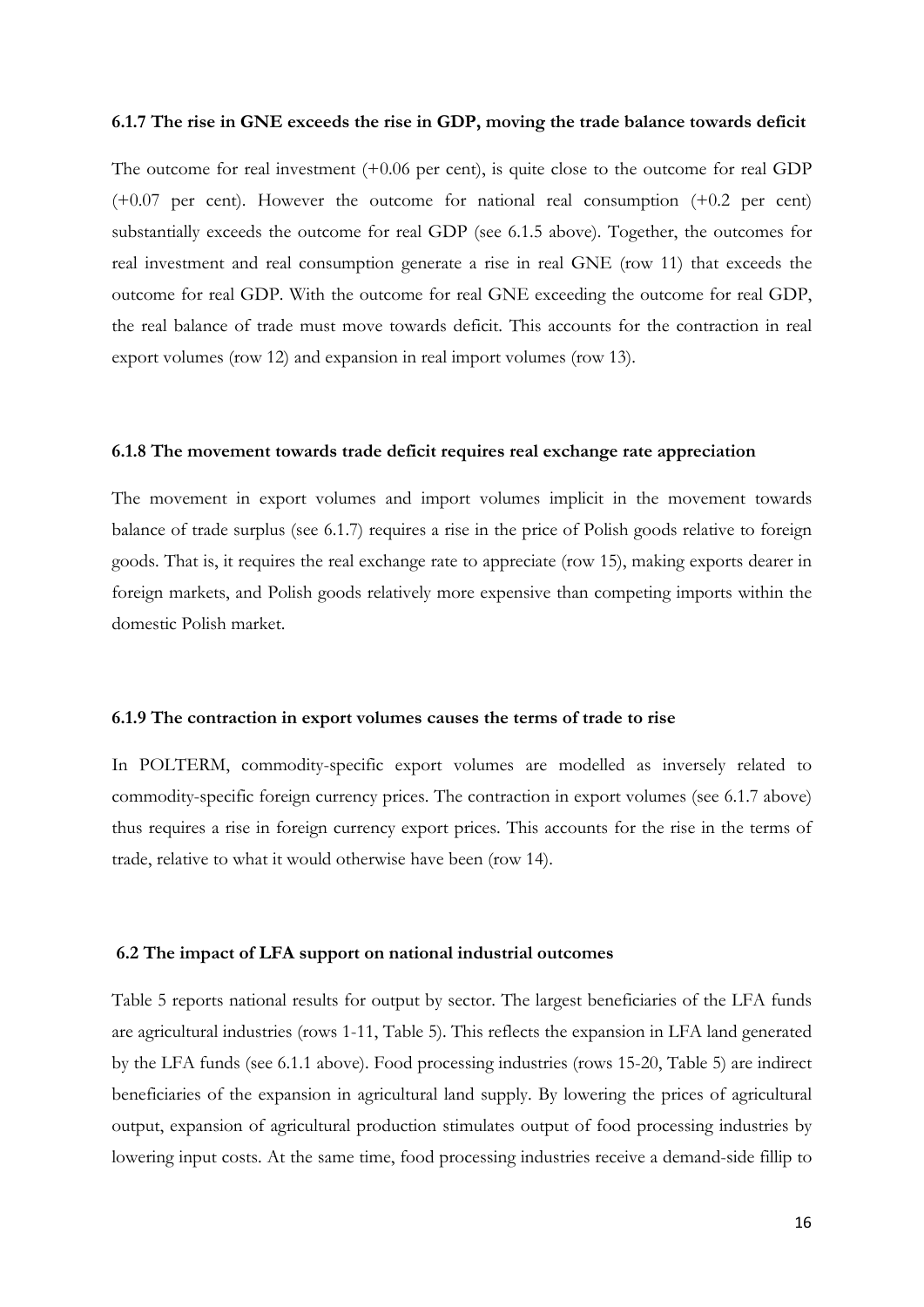#### **6.1.7 The rise in GNE exceeds the rise in GDP, moving the trade balance towards deficit**

The outcome for real investment  $(+0.06$  per cent), is quite close to the outcome for real GDP  $(+0.07)$  per cent). However the outcome for national real consumption  $(+0.2)$  per cent) substantially exceeds the outcome for real GDP (see 6.1.5 above). Together, the outcomes for real investment and real consumption generate a rise in real GNE (row 11) that exceeds the outcome for real GDP. With the outcome for real GNE exceeding the outcome for real GDP, the real balance of trade must move towards deficit. This accounts for the contraction in real export volumes (row 12) and expansion in real import volumes (row 13).

#### **6.1.8 The movement towards trade deficit requires real exchange rate appreciation**

The movement in export volumes and import volumes implicit in the movement towards balance of trade surplus (see 6.1.7) requires a rise in the price of Polish goods relative to foreign goods. That is, it requires the real exchange rate to appreciate (row 15), making exports dearer in foreign markets, and Polish goods relatively more expensive than competing imports within the domestic Polish market.

#### **6.1.9 The contraction in export volumes causes the terms of trade to rise**

In POLTERM, commodity-specific export volumes are modelled as inversely related to commodity-specific foreign currency prices. The contraction in export volumes (see 6.1.7 above) thus requires a rise in foreign currency export prices. This accounts for the rise in the terms of trade, relative to what it would otherwise have been (row 14).

#### **6.2 The impact of LFA support on national industrial outcomes**

Table 5 reports national results for output by sector. The largest beneficiaries of the LFA funds are agricultural industries (rows 1-11, Table 5). This reflects the expansion in LFA land generated by the LFA funds (see 6.1.1 above). Food processing industries (rows 15-20, Table 5) are indirect beneficiaries of the expansion in agricultural land supply. By lowering the prices of agricultural output, expansion of agricultural production stimulates output of food processing industries by lowering input costs. At the same time, food processing industries receive a demand-side fillip to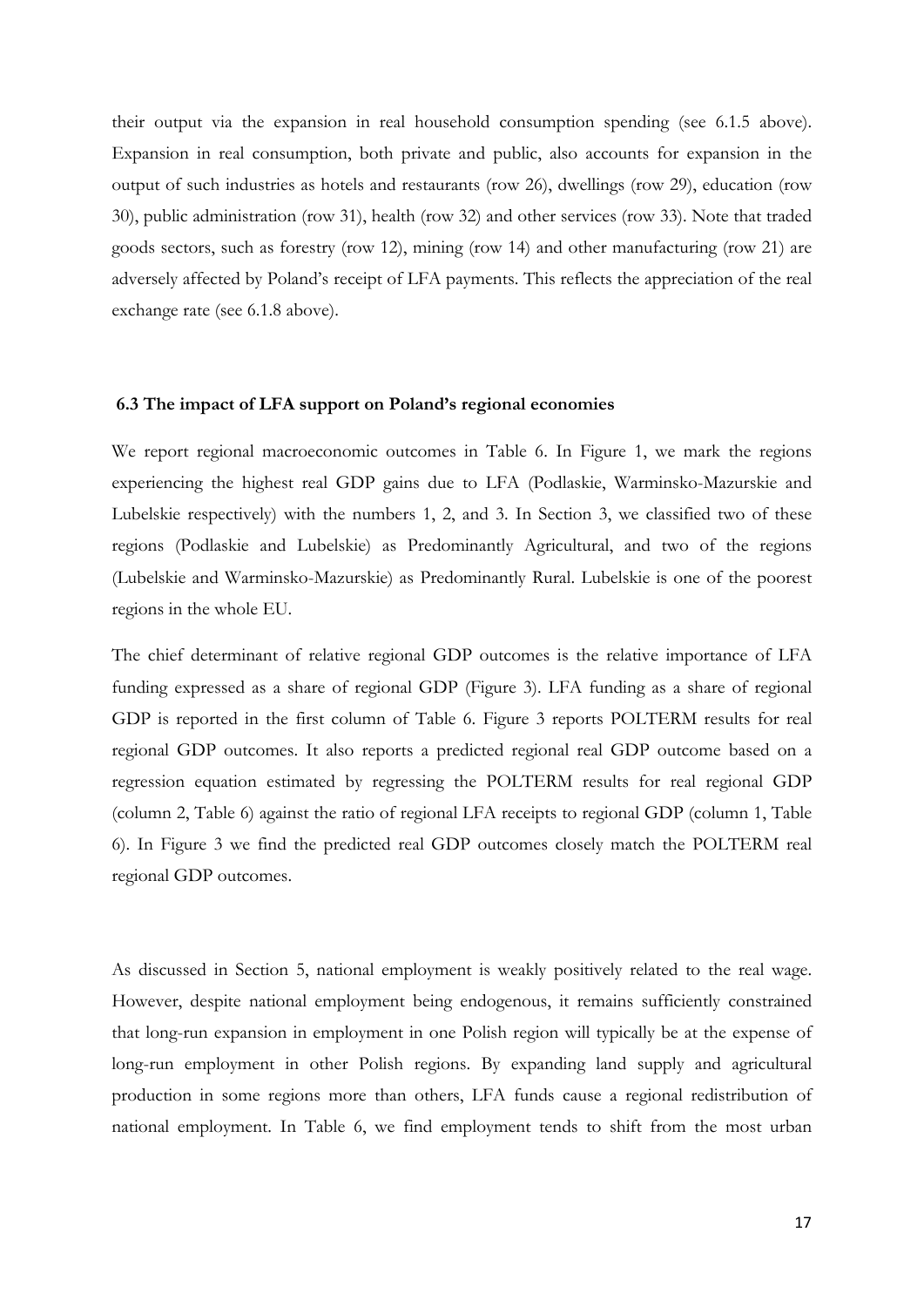their output via the expansion in real household consumption spending (see 6.1.5 above). Expansion in real consumption, both private and public, also accounts for expansion in the output of such industries as hotels and restaurants (row 26), dwellings (row 29), education (row 30), public administration (row 31), health (row 32) and other services (row 33). Note that traded goods sectors, such as forestry (row 12), mining (row 14) and other manufacturing (row 21) are adversely affected by Poland's receipt of LFA payments. This reflects the appreciation of the real exchange rate (see 6.1.8 above).

#### **6.3 The impact of LFA support on Poland's regional economies**

We report regional macroeconomic outcomes in Table 6. In Figure 1, we mark the regions experiencing the highest real GDP gains due to LFA (Podlaskie, Warminsko-Mazurskie and Lubelskie respectively) with the numbers 1, 2, and 3. In Section 3, we classified two of these regions (Podlaskie and Lubelskie) as Predominantly Agricultural, and two of the regions (Lubelskie and Warminsko-Mazurskie) as Predominantly Rural. Lubelskie is one of the poorest regions in the whole EU.

The chief determinant of relative regional GDP outcomes is the relative importance of LFA funding expressed as a share of regional GDP (Figure 3). LFA funding as a share of regional GDP is reported in the first column of Table 6. Figure 3 reports POLTERM results for real regional GDP outcomes. It also reports a predicted regional real GDP outcome based on a regression equation estimated by regressing the POLTERM results for real regional GDP (column 2, Table 6) against the ratio of regional LFA receipts to regional GDP (column 1, Table 6). In Figure 3 we find the predicted real GDP outcomes closely match the POLTERM real regional GDP outcomes.

As discussed in Section 5, national employment is weakly positively related to the real wage. However, despite national employment being endogenous, it remains sufficiently constrained that long-run expansion in employment in one Polish region will typically be at the expense of long-run employment in other Polish regions. By expanding land supply and agricultural production in some regions more than others, LFA funds cause a regional redistribution of national employment. In Table 6, we find employment tends to shift from the most urban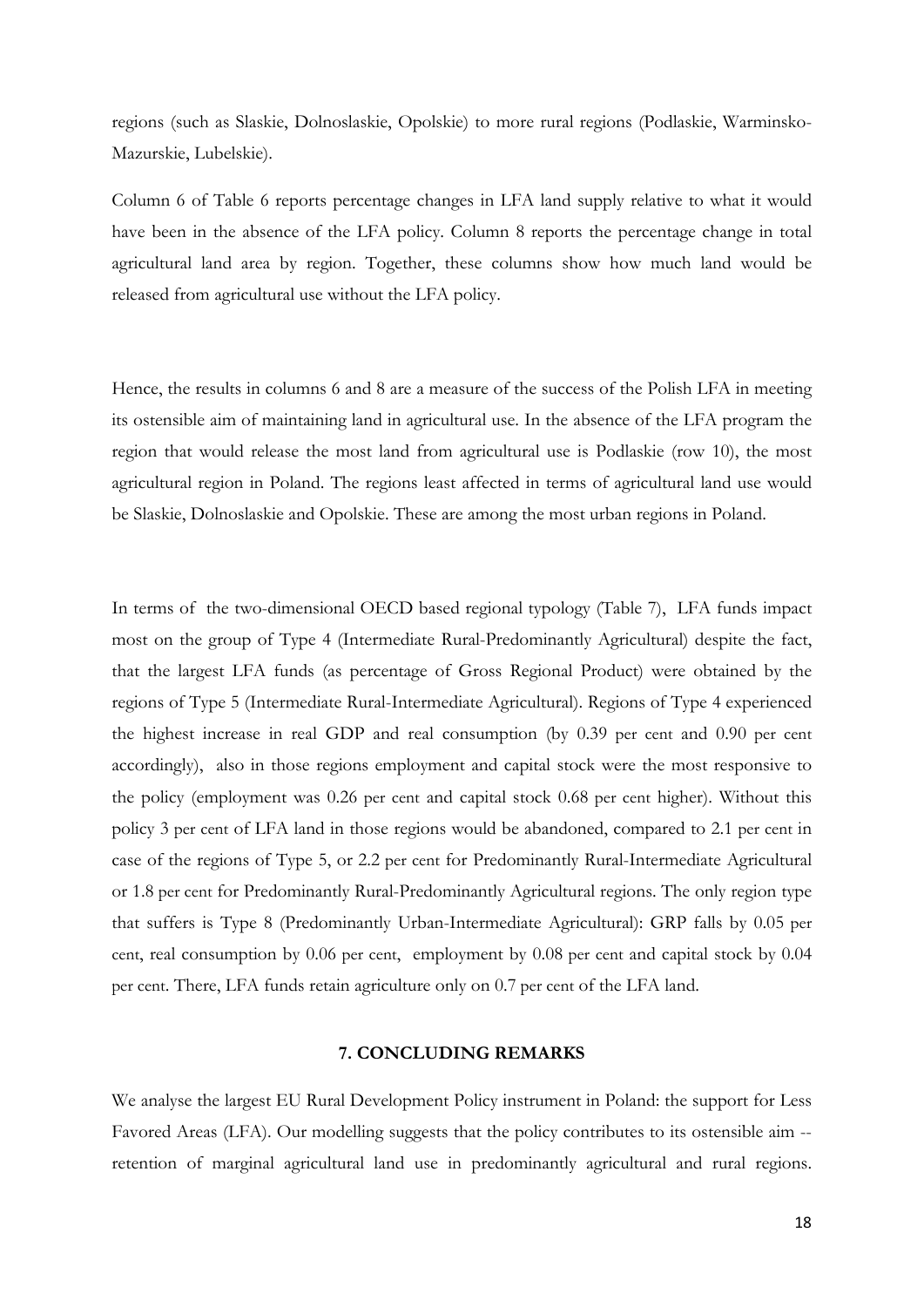regions (such as Slaskie, Dolnoslaskie, Opolskie) to more rural regions (Podlaskie, Warminsko-Mazurskie, Lubelskie).

Column 6 of Table 6 reports percentage changes in LFA land supply relative to what it would have been in the absence of the LFA policy. Column 8 reports the percentage change in total agricultural land area by region. Together, these columns show how much land would be released from agricultural use without the LFA policy.

Hence, the results in columns 6 and 8 are a measure of the success of the Polish LFA in meeting its ostensible aim of maintaining land in agricultural use. In the absence of the LFA program the region that would release the most land from agricultural use is Podlaskie (row 10), the most agricultural region in Poland. The regions least affected in terms of agricultural land use would be Slaskie, Dolnoslaskie and Opolskie. These are among the most urban regions in Poland.

In terms of the two-dimensional OECD based regional typology (Table 7), LFA funds impact most on the group of Type 4 (Intermediate Rural-Predominantly Agricultural) despite the fact, that the largest LFA funds (as percentage of Gross Regional Product) were obtained by the regions of Type 5 (Intermediate Rural-Intermediate Agricultural). Regions of Type 4 experienced the highest increase in real GDP and real consumption (by 0.39 per cent and 0.90 per cent accordingly), also in those regions employment and capital stock were the most responsive to the policy (employment was 0.26 per cent and capital stock 0.68 per cent higher). Without this policy 3 per cent of LFA land in those regions would be abandoned, compared to 2.1 per cent in case of the regions of Type 5, or 2.2 per cent for Predominantly Rural-Intermediate Agricultural or 1.8 per cent for Predominantly Rural-Predominantly Agricultural regions. The only region type that suffers is Type 8 (Predominantly Urban-Intermediate Agricultural): GRP falls by 0.05 per cent, real consumption by 0.06 per cent, employment by 0.08 per cent and capital stock by 0.04 per cent. There, LFA funds retain agriculture only on 0.7 per cent of the LFA land.

#### **7. CONCLUDING REMARKS**

We analyse the largest EU Rural Development Policy instrument in Poland: the support for Less Favored Areas (LFA). Our modelling suggests that the policy contributes to its ostensible aim - retention of marginal agricultural land use in predominantly agricultural and rural regions.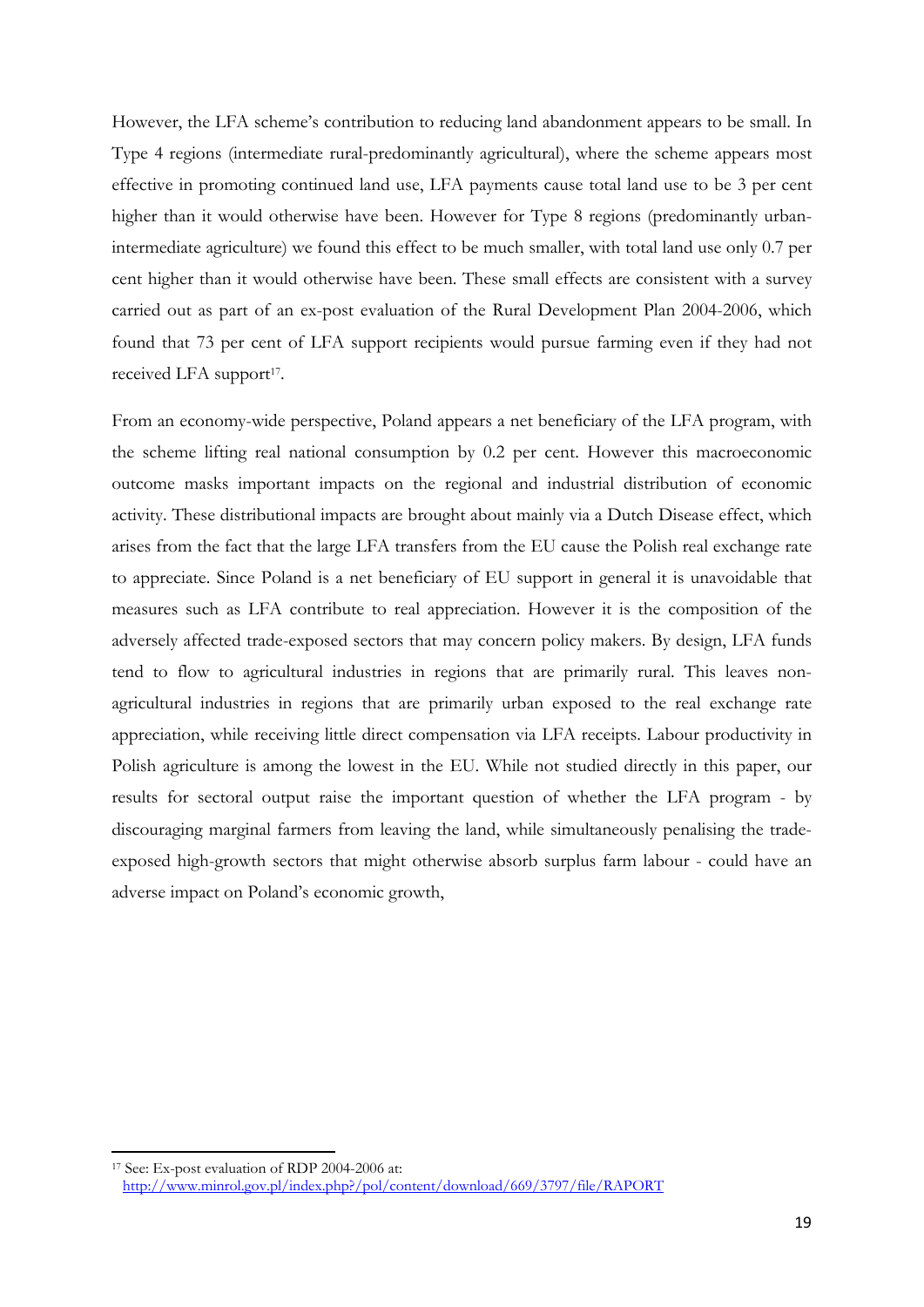However, the LFA scheme's contribution to reducing land abandonment appears to be small. In Type 4 regions (intermediate rural-predominantly agricultural), where the scheme appears most effective in promoting continued land use, LFA payments cause total land use to be 3 per cent higher than it would otherwise have been. However for Type 8 regions (predominantly urbanintermediate agriculture) we found this effect to be much smaller, with total land use only 0.7 per cent higher than it would otherwise have been. These small effects are consistent with a survey carried out as part of an ex-post evaluation of the Rural Development Plan 2004-2006, which found that 73 per cent of LFA support recipients would pursue farming even if they had not received LFA support<sup>17</sup>.

From an economy-wide perspective, Poland appears a net beneficiary of the LFA program, with the scheme lifting real national consumption by 0.2 per cent. However this macroeconomic outcome masks important impacts on the regional and industrial distribution of economic activity. These distributional impacts are brought about mainly via a Dutch Disease effect, which arises from the fact that the large LFA transfers from the EU cause the Polish real exchange rate to appreciate. Since Poland is a net beneficiary of EU support in general it is unavoidable that measures such as LFA contribute to real appreciation. However it is the composition of the adversely affected trade-exposed sectors that may concern policy makers. By design, LFA funds tend to flow to agricultural industries in regions that are primarily rural. This leaves nonagricultural industries in regions that are primarily urban exposed to the real exchange rate appreciation, while receiving little direct compensation via LFA receipts. Labour productivity in Polish agriculture is among the lowest in the EU. While not studied directly in this paper, our results for sectoral output raise the important question of whether the LFA program - by discouraging marginal farmers from leaving the land, while simultaneously penalising the tradeexposed high-growth sectors that might otherwise absorb surplus farm labour - could have an adverse impact on Poland's economic growth,

<sup>17</sup> See: Ex-post evaluation of RDP 2004-2006 at: http://www.minrol.gov.pl/index.php?/pol/content/download/669/3797/file/RAPORT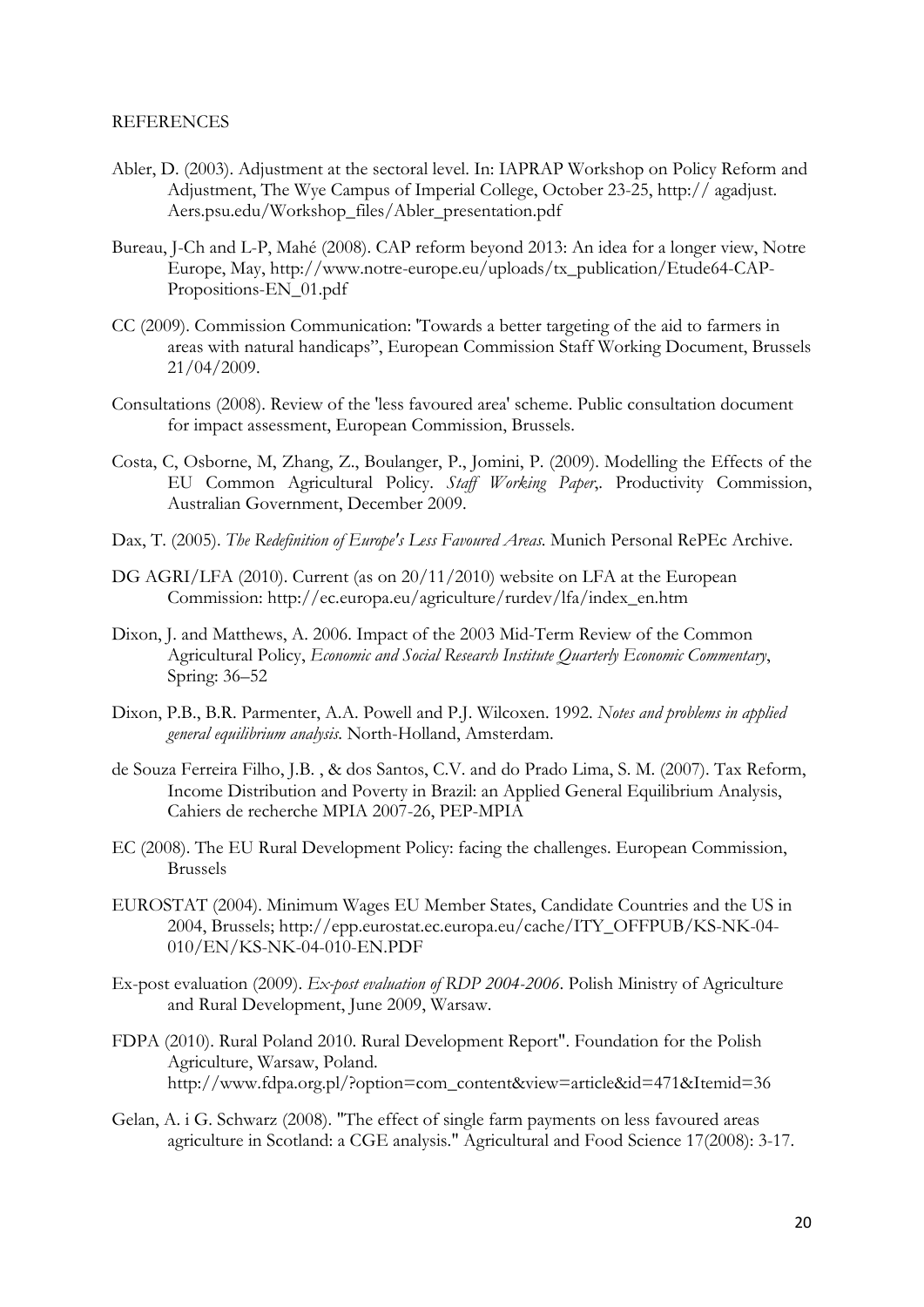#### REFERENCES

- Abler, D. (2003). Adjustment at the sectoral level. In: IAPRAP Workshop on Policy Reform and Adjustment, The Wye Campus of Imperial College, October 23-25, http:// agadjust. Aers.psu.edu/Workshop\_files/Abler\_presentation.pdf
- Bureau, J-Ch and L-P, Mahé (2008). CAP reform beyond 2013: An idea for a longer view, Notre Europe, May, http://www.notre-europe.eu/uploads/tx\_publication/Etude64-CAP-Propositions-EN\_01.pdf
- CC (2009). Commission Communication: 'Towards a better targeting of the aid to farmers in areas with natural handicaps", European Commission Staff Working Document, Brussels 21/04/2009.
- Consultations (2008). Review of the 'less favoured area' scheme. Public consultation document for impact assessment, European Commission, Brussels.
- Costa, C, Osborne, M, Zhang, Z., Boulanger, P., Jomini, P. (2009). Modelling the Effects of the EU Common Agricultural Policy. *Staff Working Paper*,. Productivity Commission, Australian Government, December 2009.
- Dax, T. (2005). *The Redefinition of Europe's Less Favoured Areas*. Munich Personal RePEc Archive.
- DG AGRI/LFA (2010). Current (as on 20/11/2010) website on LFA at the European Commission: http://ec.europa.eu/agriculture/rurdev/lfa/index\_en.htm
- Dixon, J. and Matthews, A. 2006. Impact of the 2003 Mid-Term Review of the Common Agricultural Policy, *Economic and Social Research Institute Quarterly Economic Commentary*, Spring: 36–52
- Dixon, P.B., B.R. Parmenter, A.A. Powell and P.J. Wilcoxen. 1992. *Notes and problems in applied general equilibrium analysis*. North-Holland, Amsterdam.
- de Souza Ferreira Filho, J.B. , & dos Santos, C.V. and do Prado Lima, S. M. (2007). Tax Reform, Income Distribution and Poverty in Brazil: an Applied General Equilibrium Analysis, Cahiers de recherche MPIA 2007-26, PEP-MPIA
- EC (2008). The EU Rural Development Policy: facing the challenges. European Commission, Brussels
- EUROSTAT (2004). Minimum Wages EU Member States, Candidate Countries and the US in 2004, Brussels; http://epp.eurostat.ec.europa.eu/cache/ITY\_OFFPUB/KS-NK-04- 010/EN/KS-NK-04-010-EN.PDF
- Ex-post evaluation (2009). *Ex-post evaluation of RDP 2004-2006*. Polish Ministry of Agriculture and Rural Development, June 2009, Warsaw.
- FDPA (2010). Rural Poland 2010. Rural Development Report". Foundation for the Polish Agriculture, Warsaw, Poland. http://www.fdpa.org.pl/?option=com\_content&view=article&id=471&Itemid=36
- Gelan, A. i G. Schwarz (2008). "The effect of single farm payments on less favoured areas agriculture in Scotland: a CGE analysis." Agricultural and Food Science 17(2008): 3-17.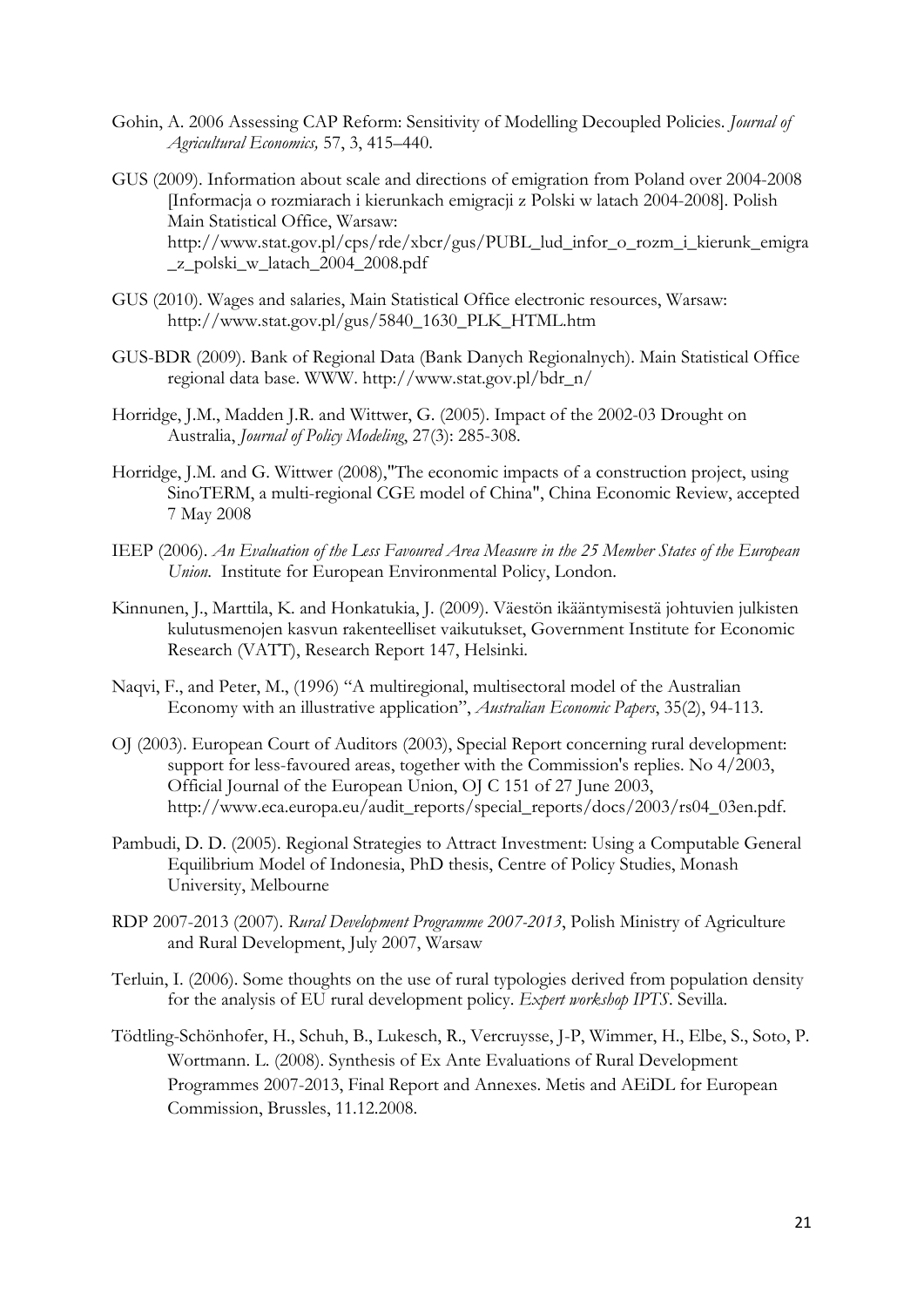- Gohin, A. 2006 Assessing CAP Reform: Sensitivity of Modelling Decoupled Policies. *Journal of Agricultural Economics,* 57, 3, 415–440.
- GUS (2009). Information about scale and directions of emigration from Poland over 2004-2008 [Informacja o rozmiarach i kierunkach emigracji z Polski w latach 2004-2008]. Polish Main Statistical Office, Warsaw: http://www.stat.gov.pl/cps/rde/xbcr/gus/PUBL\_lud\_infor\_o\_rozm\_i\_kierunk\_emigra \_z\_polski\_w\_latach\_2004\_2008.pdf
- GUS (2010). Wages and salaries, Main Statistical Office electronic resources, Warsaw: http://www.stat.gov.pl/gus/5840\_1630\_PLK\_HTML.htm
- GUS-BDR (2009). Bank of Regional Data (Bank Danych Regionalnych). Main Statistical Office regional data base. WWW. http://www.stat.gov.pl/bdr\_n/
- Horridge, J.M., Madden J.R. and Wittwer, G. (2005). Impact of the 2002-03 Drought on Australia, *Journal of Policy Modeling*, 27(3): 285-308.
- Horridge, J.M. and G. Wittwer (2008),"The economic impacts of a construction project, using SinoTERM, a multi-regional CGE model of China", China Economic Review, accepted 7 May 2008
- IEEP (2006). *An Evaluation of the Less Favoured Area Measure in the 25 Member States of the European Union*. Institute for European Environmental Policy, London.
- Kinnunen, J., Marttila, K. and Honkatukia, J. (2009). Väestön ikääntymisestä johtuvien julkisten kulutusmenojen kasvun rakenteelliset vaikutukset, Government Institute for Economic Research (VATT), Research Report 147, Helsinki.
- Naqvi, F., and Peter, M., (1996) "A multiregional, multisectoral model of the Australian Economy with an illustrative application", *Australian Economic Papers*, 35(2), 94-113.
- OJ (2003). European Court of Auditors (2003), Special Report concerning rural development: support for less-favoured areas, together with the Commission's replies. No 4/2003, Official Journal of the European Union, OJ C 151 of 27 June 2003, http://www.eca.europa.eu/audit\_reports/special\_reports/docs/2003/rs04\_03en.pdf.
- Pambudi, D. D. (2005). Regional Strategies to Attract Investment: Using a Computable General Equilibrium Model of Indonesia, PhD thesis, Centre of Policy Studies, Monash University, Melbourne
- RDP 2007-2013 (2007). *Rural Development Programme 2007-2013*, Polish Ministry of Agriculture and Rural Development, July 2007, Warsaw
- Terluin, I. (2006). Some thoughts on the use of rural typologies derived from population density for the analysis of EU rural development policy. *Expert workshop IPTS*. Sevilla.
- Tödtling-Schönhofer, H., Schuh, B., Lukesch, R., Vercruysse, J-P, Wimmer, H., Elbe, S., Soto, P. Wortmann. L. (2008). Synthesis of Ex Ante Evaluations of Rural Development Programmes 2007-2013, Final Report and Annexes. Metis and AEiDL for European Commission, Brussles, 11.12.2008.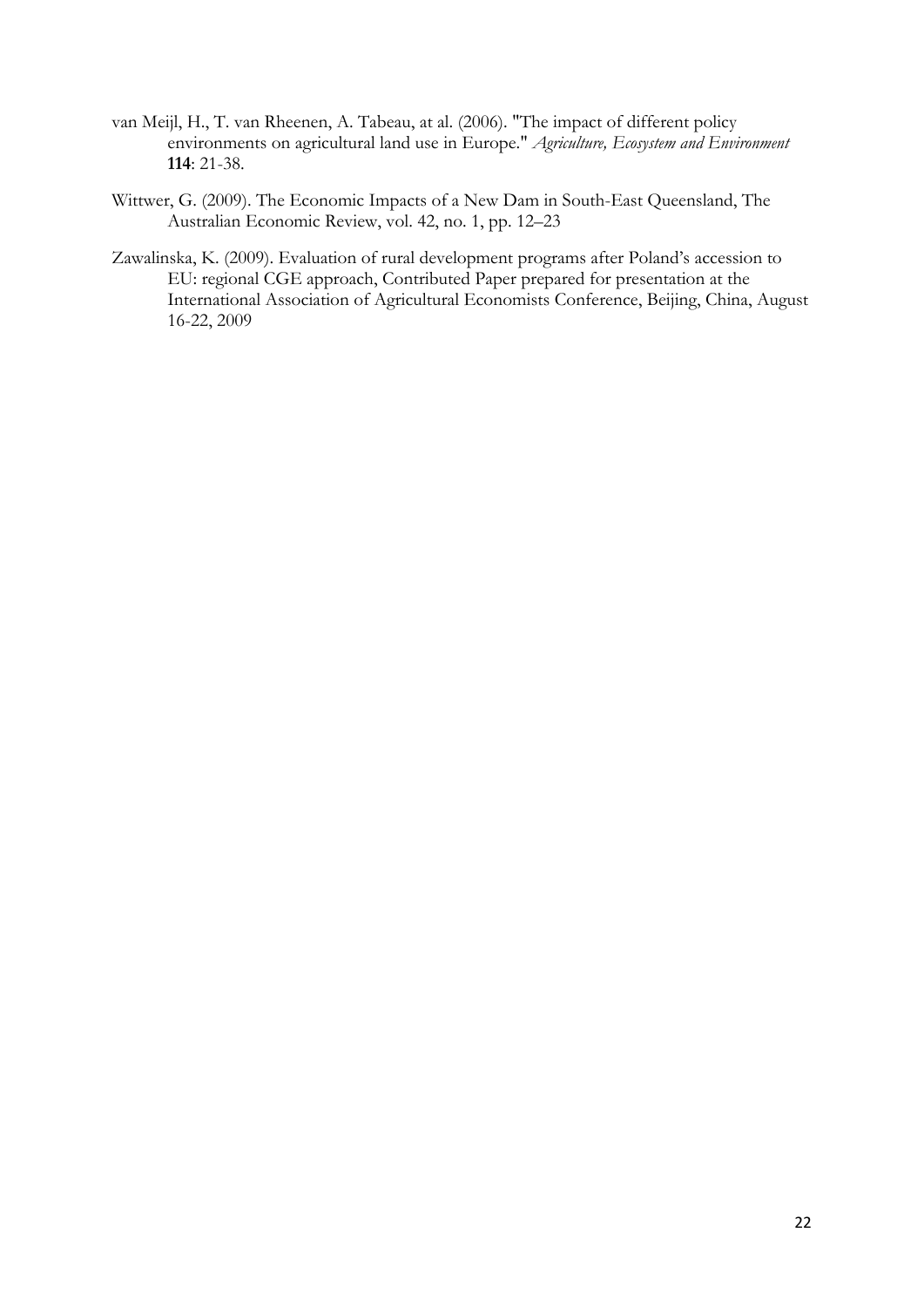- van Meijl, H., T. van Rheenen, A. Tabeau, at al. (2006). "The impact of different policy environments on agricultural land use in Europe." *Agriculture, Ecosystem and Environment* **114**: 21-38.
- Wittwer, G. (2009). The Economic Impacts of a New Dam in South-East Queensland, The Australian Economic Review, vol. 42, no. 1, pp. 12–23
- Zawalinska, K. (2009). Evaluation of rural development programs after Poland's accession to EU: regional CGE approach, Contributed Paper prepared for presentation at the International Association of Agricultural Economists Conference, Beijing, China, August 16-22, 2009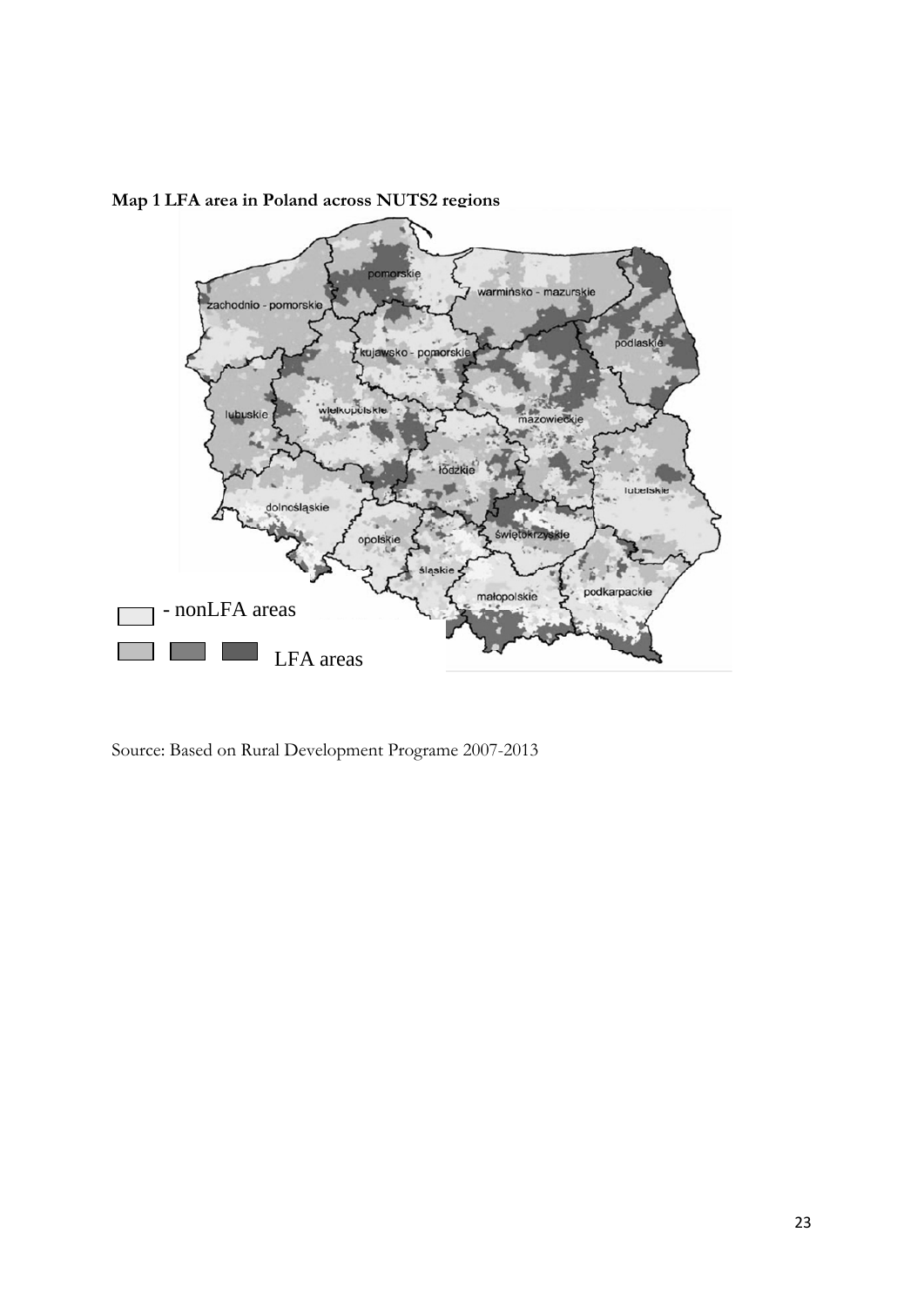

**Map 1 LFA area in Poland across NUTS2 regions** 

Source: Based on Rural Development Programe 2007-2013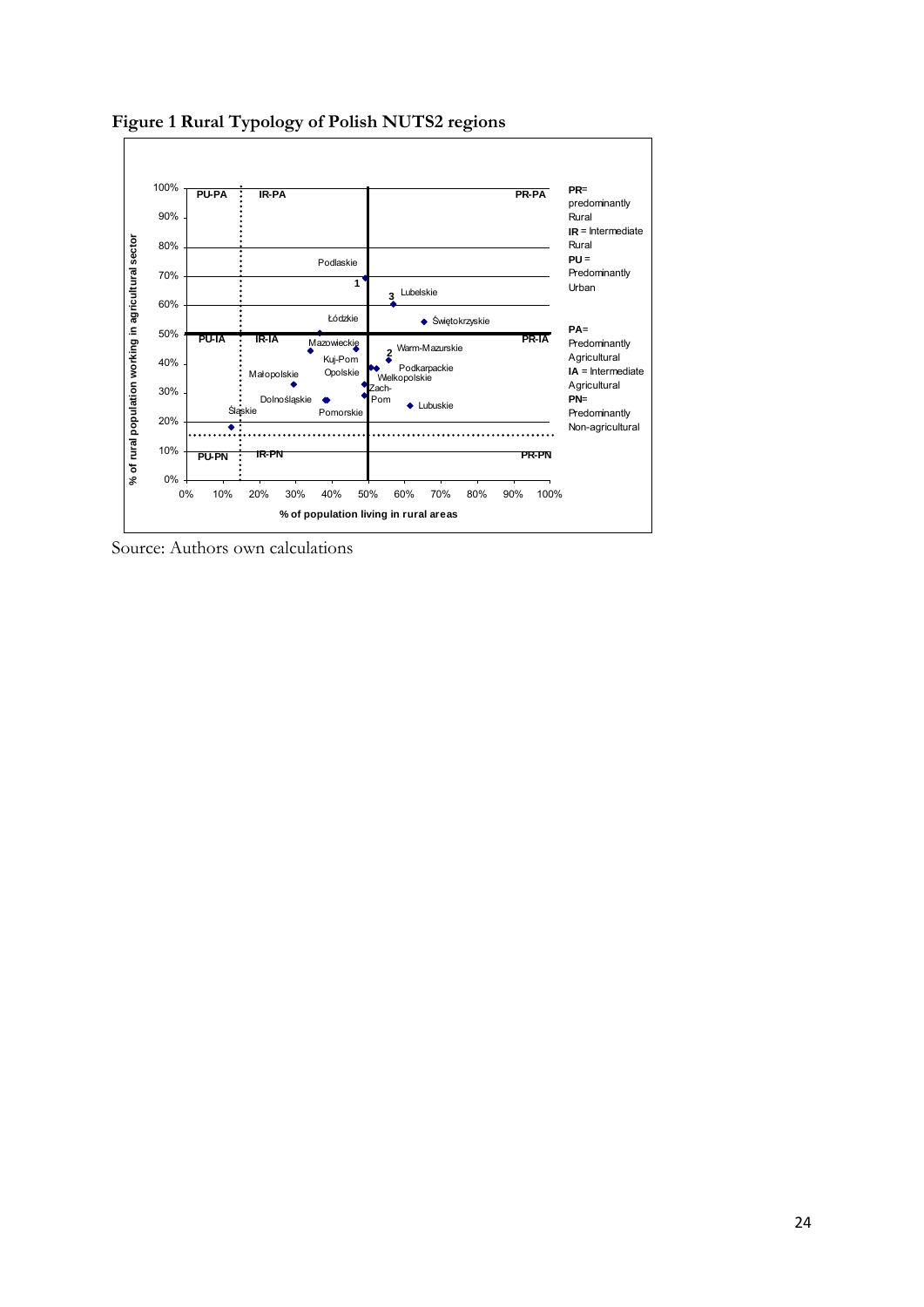

**Figure 1 Rural Typology of Polish NUTS2 regions** 

Source: Authors own calculations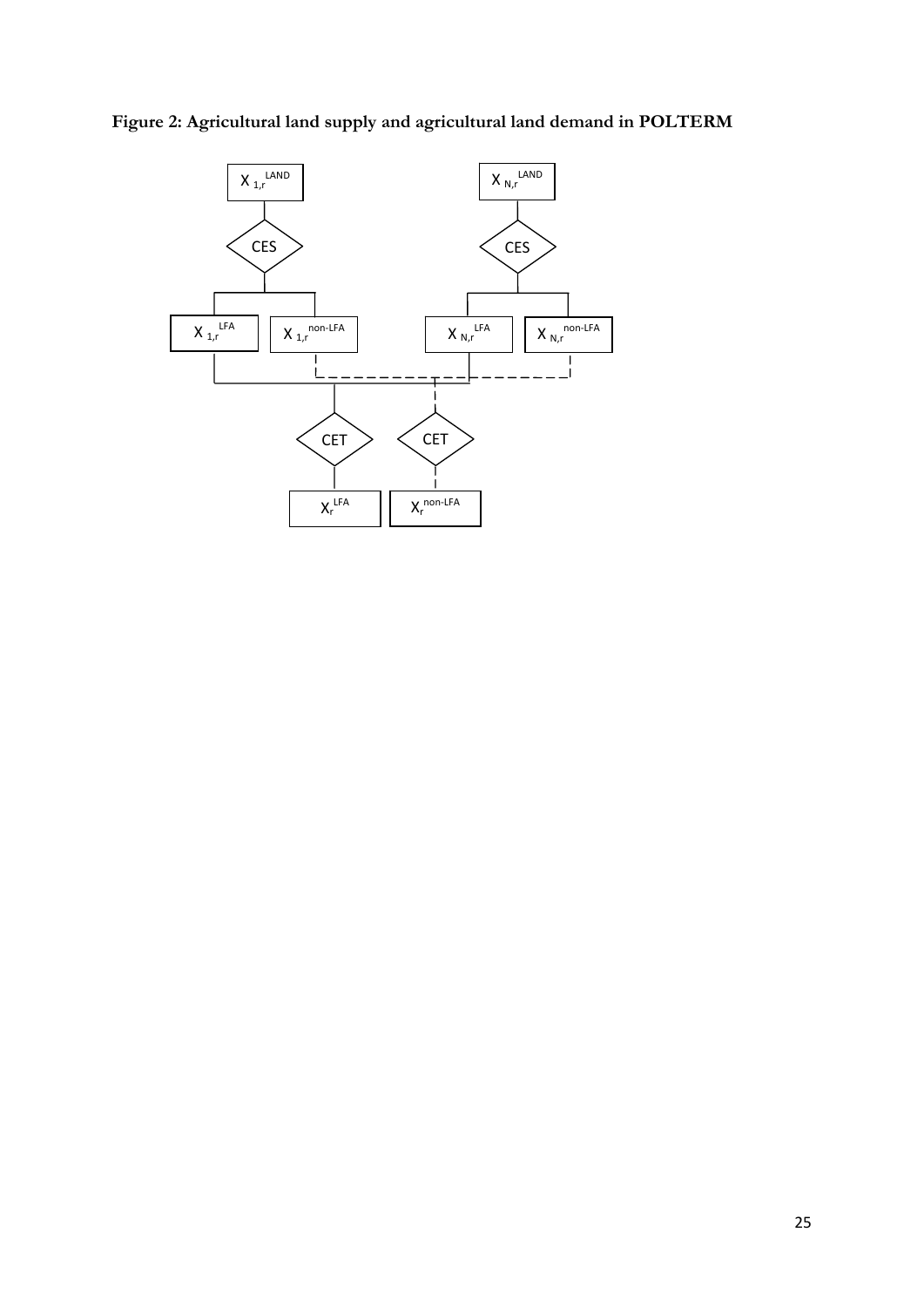

**Figure 2: Agricultural land supply and agricultural land demand in POLTERM**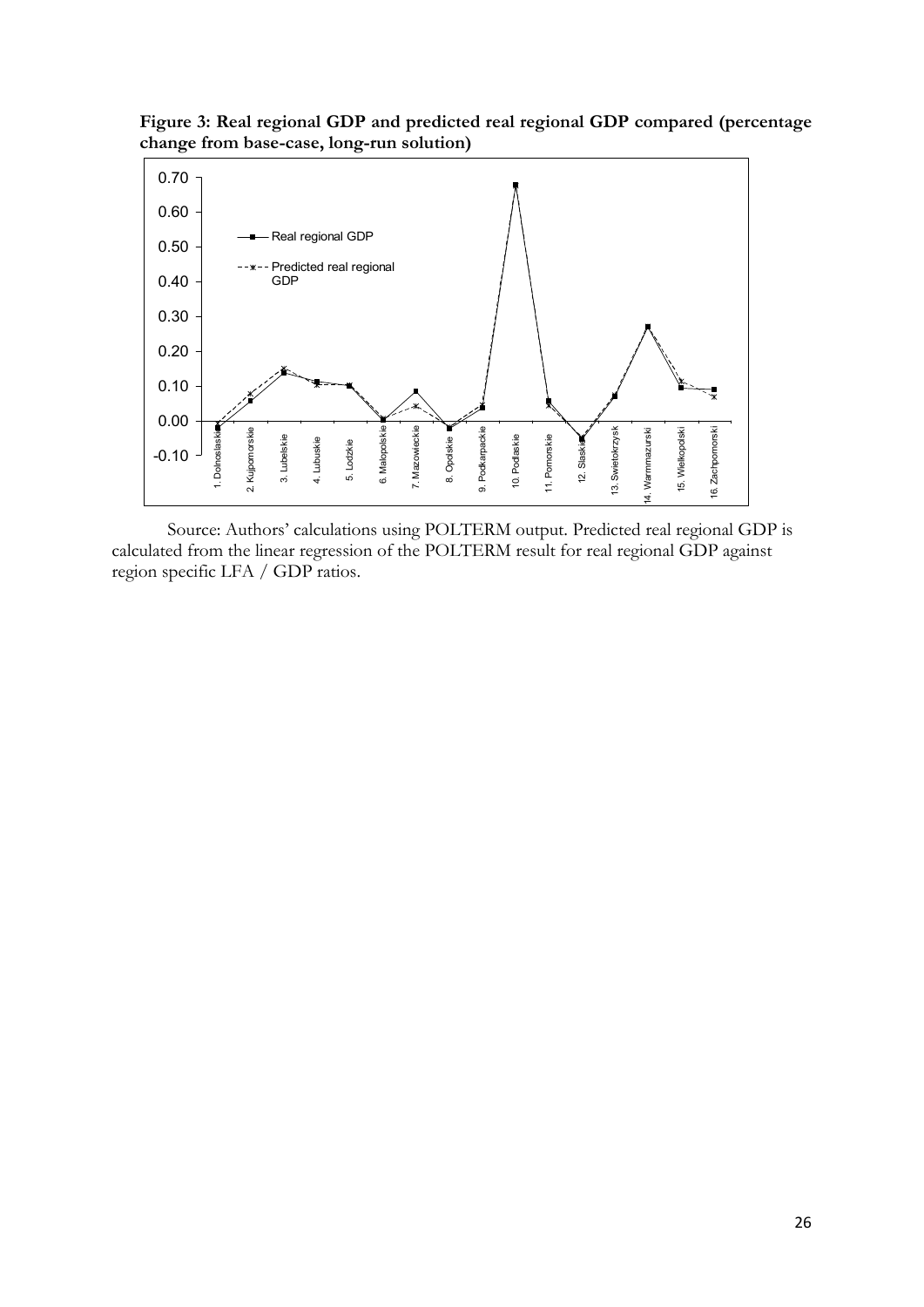**Figure 3: Real regional GDP and predicted real regional GDP compared (percentage change from base-case, long-run solution)** 



 Source: Authors' calculations using POLTERM output. Predicted real regional GDP is calculated from the linear regression of the POLTERM result for real regional GDP against region specific LFA / GDP ratios.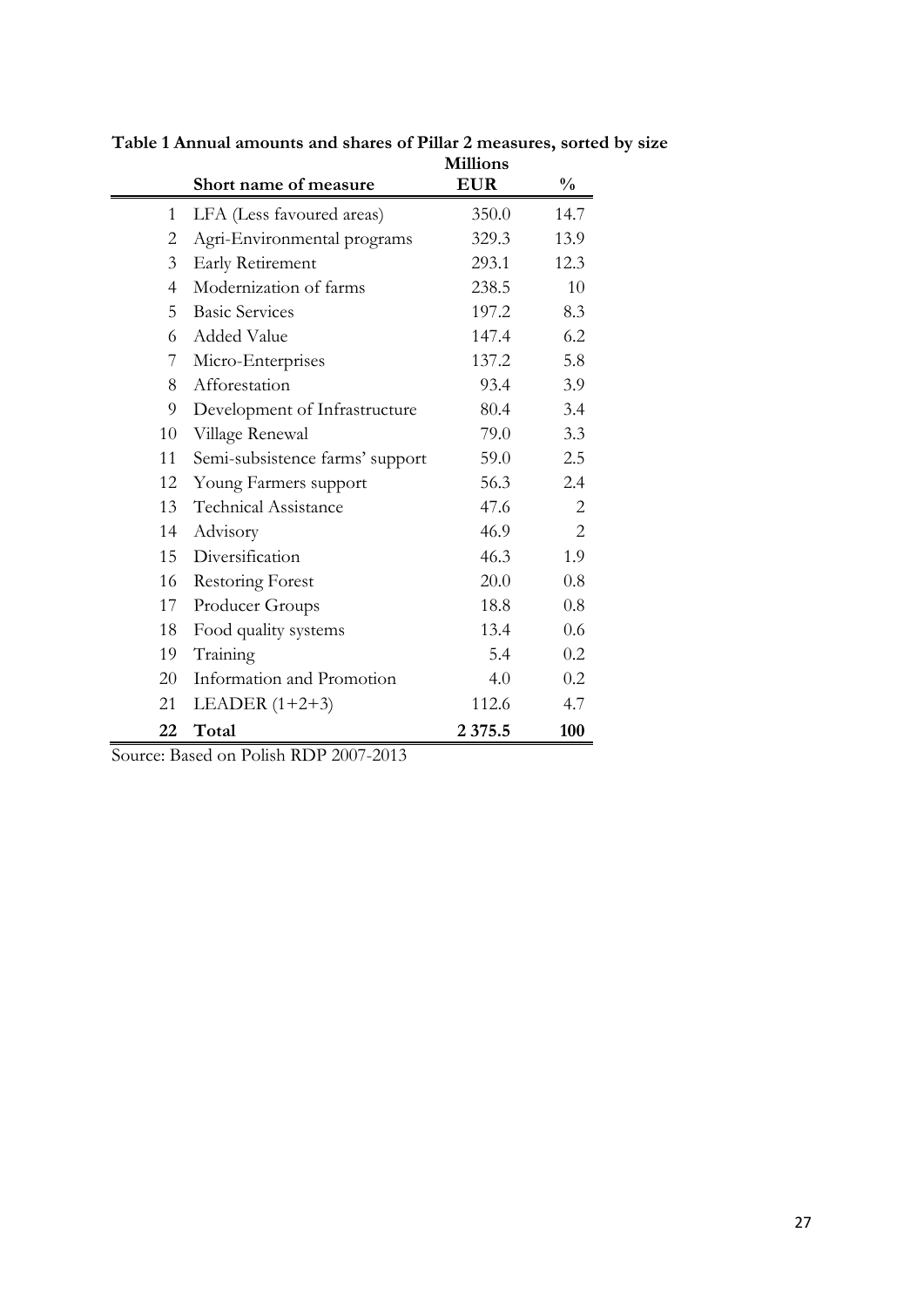|                | Short name of measure           | <b>Millions</b><br><b>EUR</b> | $\frac{0}{0}$  |
|----------------|---------------------------------|-------------------------------|----------------|
|                |                                 |                               |                |
| 1              | LFA (Less favoured areas)       | 350.0                         | 14.7           |
| $\overline{2}$ | Agri-Environmental programs     | 329.3                         | 13.9           |
| 3              | Early Retirement                | 293.1                         | 12.3           |
| $\overline{4}$ | Modernization of farms          | 238.5                         | 10             |
| 5              | <b>Basic Services</b>           | 197.2                         | 8.3            |
| 6              | <b>Added Value</b>              | 147.4                         | 6.2            |
| 7              | Micro-Enterprises               | 137.2                         | 5.8            |
| 8              | Afforestation                   | 93.4                          | 3.9            |
| 9              | Development of Infrastructure   | 80.4                          | 3.4            |
| 10             | Village Renewal                 | 79.0                          | 3.3            |
| 11             | Semi-subsistence farms' support | 59.0                          | 2.5            |
| 12             | Young Farmers support           | 56.3                          | 2.4            |
| 13             | <b>Technical Assistance</b>     | 47.6                          | $\overline{2}$ |
| 14             | Advisory                        | 46.9                          | 2              |
| 15             | Diversification                 | 46.3                          | 1.9            |
| 16             | Restoring Forest                | 20.0                          | 0.8            |
| 17             | Producer Groups                 | 18.8                          | 0.8            |
| 18             | Food quality systems            | 13.4                          | 0.6            |
| 19             | Training                        | 5.4                           | 0.2            |
| 20             | Information and Promotion       | 4.0                           | 0.2            |
| 21             | LEADER $(1+2+3)$                | 112.6                         | 4.7            |
| 22             | Total                           | 2 3 7 5 . 5                   | 100            |

**Table 1 Annual amounts and shares of Pillar 2 measures, sorted by size Millions**

Source: Based on Polish RDP 2007-2013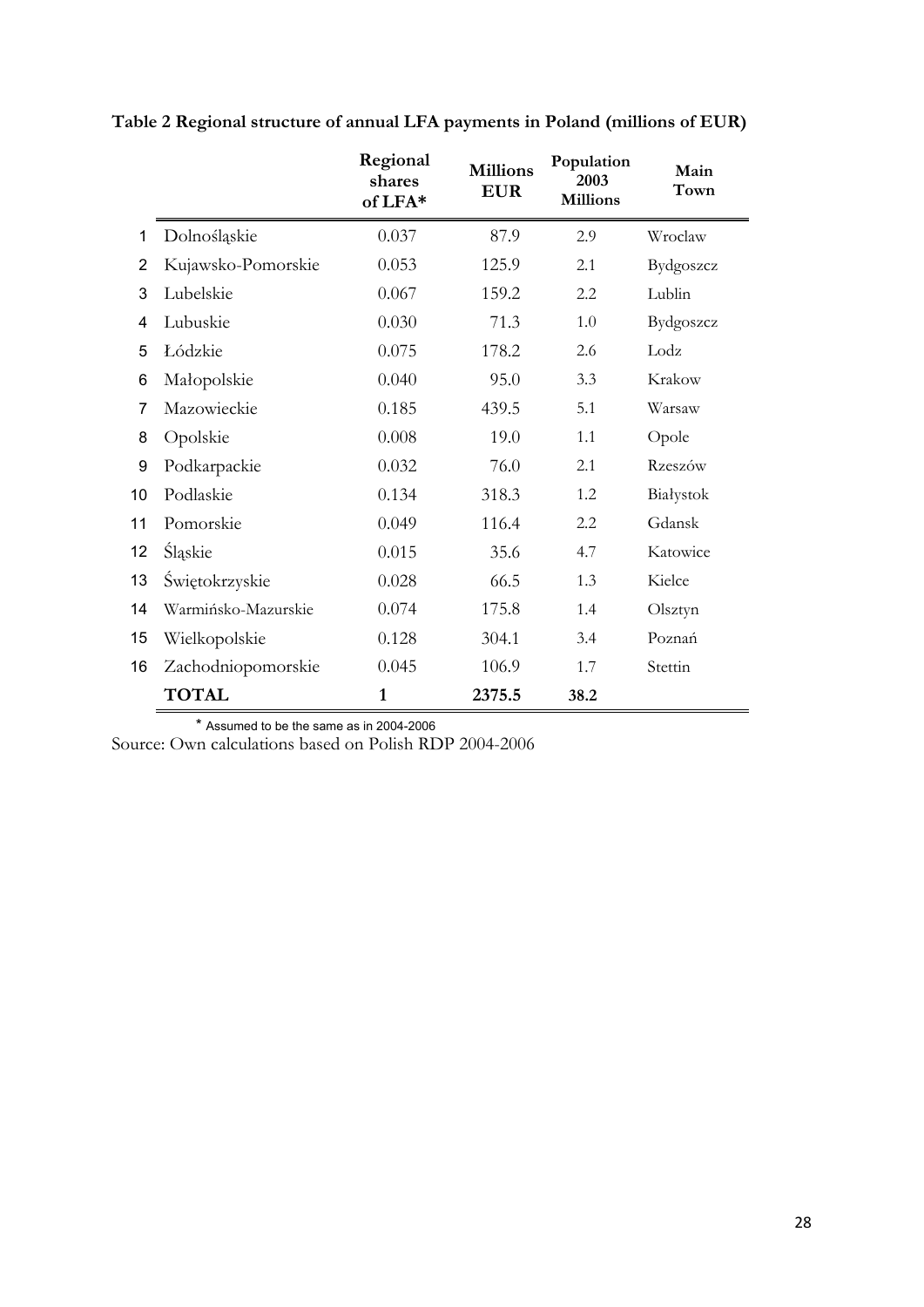|    |                     | Regional<br>shares<br>of LFA* | <b>Millions</b><br><b>EUR</b> | Population<br>2003<br><b>Millions</b> | Main<br>Town |
|----|---------------------|-------------------------------|-------------------------------|---------------------------------------|--------------|
| 1  | Dolnośląskie        | 0.037                         | 87.9                          | 2.9                                   | Wroclaw      |
| 2  | Kujawsko-Pomorskie  | 0.053                         | 125.9                         | 2.1                                   | Bydgoszcz    |
| 3  | Lubelskie           | 0.067                         | 159.2                         | 2.2                                   | Lublin       |
| 4  | Lubuskie            | 0.030                         | 71.3                          | 1.0                                   | Bydgoszcz    |
| 5  | Łódzkie             | 0.075                         | 178.2                         | 2.6                                   | Lodz         |
| 6  | Małopolskie         | 0.040                         | 95.0                          | 3.3                                   | Krakow       |
| 7  | Mazowieckie         | 0.185                         | 439.5                         | 5.1                                   | Warsaw       |
| 8  | Opolskie            | 0.008                         | 19.0                          | 1.1                                   | Opole        |
| 9  | Podkarpackie        | 0.032                         | 76.0                          | 2.1                                   | Rzeszów      |
| 10 | Podlaskie           | 0.134                         | 318.3                         | 1.2                                   | Białystok    |
| 11 | Pomorskie           | 0.049                         | 116.4                         | 2.2                                   | Gdansk       |
| 12 | Śląskie             | 0.015                         | 35.6                          | 4.7                                   | Katowice     |
| 13 | Świętokrzyskie      | 0.028                         | 66.5                          | 1.3                                   | Kielce       |
| 14 | Warmińsko-Mazurskie | 0.074                         | 175.8                         | 1.4                                   | Olsztyn      |
| 15 | Wielkopolskie       | 0.128                         | 304.1                         | 3.4                                   | Poznań       |
| 16 | Zachodniopomorskie  | 0.045                         | 106.9                         | 1.7                                   | Stettin      |
|    | <b>TOTAL</b>        | $\mathbf{1}$                  | 2375.5                        | 38.2                                  |              |

**Table 2 Regional structure of annual LFA payments in Poland (millions of EUR)** 

\* Assumed to be the same as in 2004-2006

Source: Own calculations based on Polish RDP 2004-2006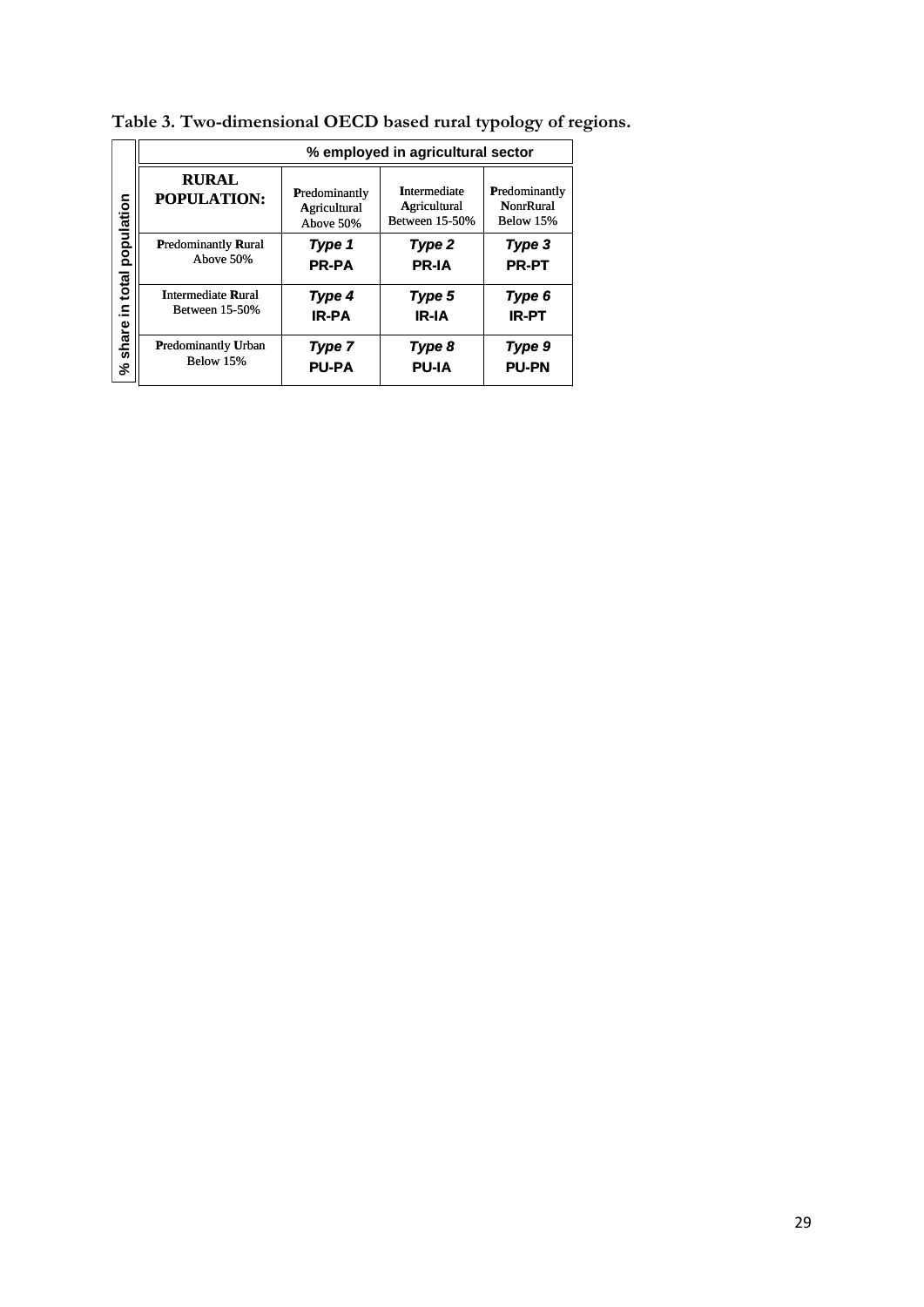| population<br>total<br>으.<br>share<br>వి | % employed in agricultural sector                  |                                            |                                                              |                                                |  |  |  |
|------------------------------------------|----------------------------------------------------|--------------------------------------------|--------------------------------------------------------------|------------------------------------------------|--|--|--|
|                                          | <b>RURAL</b><br><b>POPULATION:</b>                 | Predominantly<br>Agricultural<br>Above 50% | <b>Intermediate</b><br>Agricultural<br><b>Between 15-50%</b> | Predominantly<br><b>NonrRural</b><br>Below 15% |  |  |  |
|                                          | <b>Predominantly Rural</b><br>Above 50%            | Type 1<br><b>PR-PA</b>                     | Type 2<br><b>PR-IA</b>                                       | Type 3<br><b>PR-PT</b>                         |  |  |  |
|                                          | <b>Intermediate Rural</b><br><b>Between 15-50%</b> | Type 4<br><b>IR-PA</b>                     | Type 5<br>IR-IA                                              | Type 6<br><b>IR-PT</b>                         |  |  |  |
|                                          | <b>Predominantly Urban</b><br>Below 15%            | Type 7<br><b>PU-PA</b>                     | Type 8<br><b>PU-IA</b>                                       | Type 9<br><b>PU-PN</b>                         |  |  |  |

| Table 3. Two-dimensional OECD based rural typology of regions. |  |  |  |  |
|----------------------------------------------------------------|--|--|--|--|
|----------------------------------------------------------------|--|--|--|--|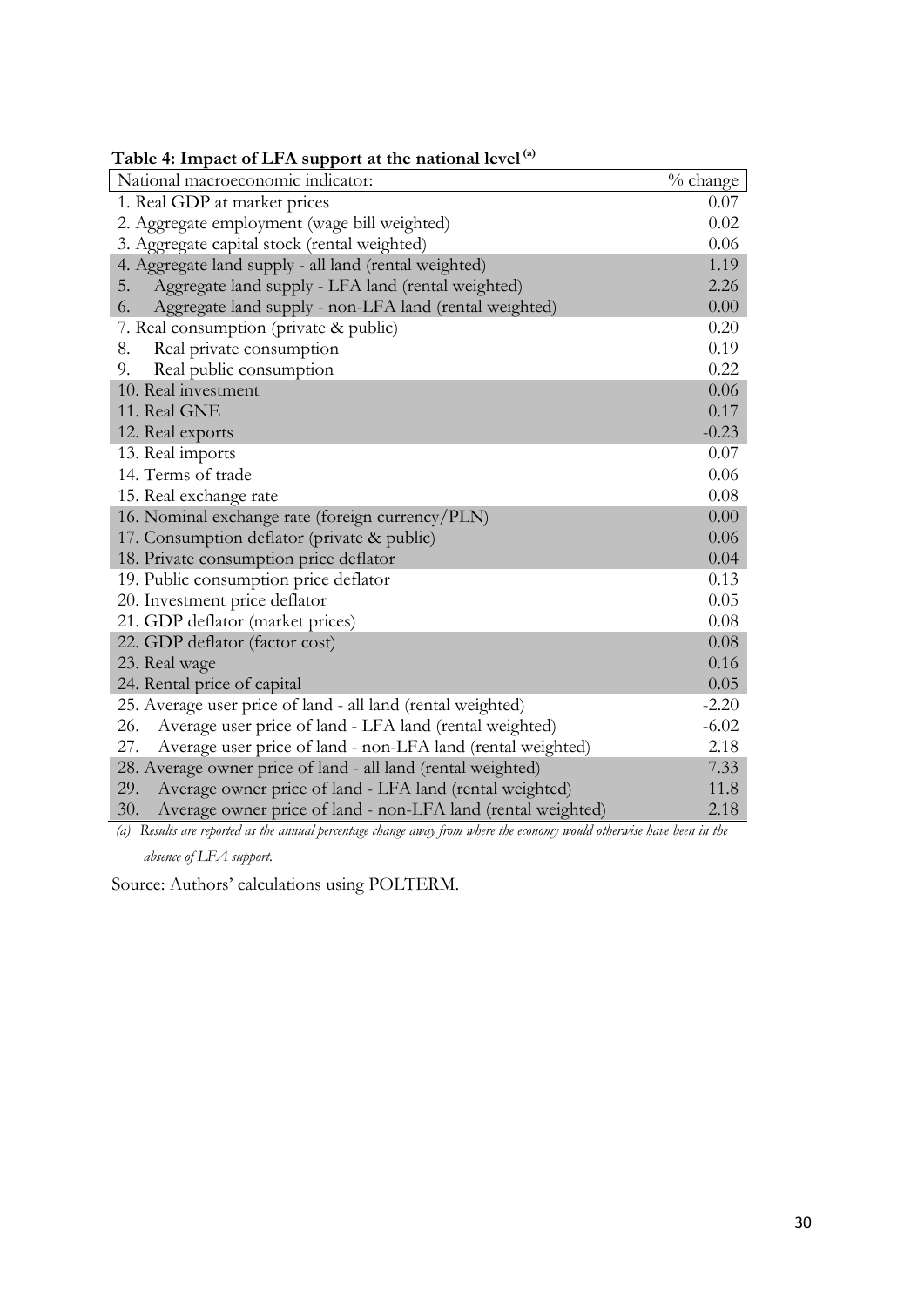| <b>Table 4: Impact of LFA support at the national level</b>         |          |
|---------------------------------------------------------------------|----------|
| National macroeconomic indicator:                                   | % change |
| 1. Real GDP at market prices                                        | 0.07     |
| 2. Aggregate employment (wage bill weighted)                        | 0.02     |
| 3. Aggregate capital stock (rental weighted)                        | 0.06     |
| 4. Aggregate land supply - all land (rental weighted)               | 1.19     |
| 5.<br>Aggregate land supply - LFA land (rental weighted)            | 2.26     |
| Aggregate land supply - non-LFA land (rental weighted)<br>6.        | 0.00     |
| 7. Real consumption (private & public)                              | 0.20     |
| Real private consumption<br>8.                                      | 0.19     |
| Real public consumption<br>9.                                       | 0.22     |
| 10. Real investment                                                 | 0.06     |
| 11. Real GNE                                                        | 0.17     |
| 12. Real exports                                                    | $-0.23$  |
| 13. Real imports                                                    | 0.07     |
| 14. Terms of trade                                                  | 0.06     |
| 15. Real exchange rate                                              | 0.08     |
| 16. Nominal exchange rate (foreign currency/PLN)                    | 0.00     |
| 17. Consumption deflator (private & public)                         | 0.06     |
| 18. Private consumption price deflator                              | 0.04     |
| 19. Public consumption price deflator                               | 0.13     |
| 20. Investment price deflator                                       | 0.05     |
| 21. GDP deflator (market prices)                                    | 0.08     |
| 22. GDP deflator (factor cost)                                      | 0.08     |
| 23. Real wage                                                       | 0.16     |
| 24. Rental price of capital                                         | 0.05     |
| 25. Average user price of land - all land (rental weighted)         | $-2.20$  |
| Average user price of land - LFA land (rental weighted)<br>26.      | $-6.02$  |
| 27.<br>Average user price of land - non-LFA land (rental weighted)  | 2.18     |
| 28. Average owner price of land - all land (rental weighted)        | 7.33     |
| 29.<br>Average owner price of land - LFA land (rental weighted)     | 11.8     |
| Average owner price of land - non-LFA land (rental weighted)<br>30. | 2.18     |

**Table 4: Impact of LFA support at the national level (a)**

 *(a) Results are reported as the annual percentage change away from where the economy would otherwise have been in the* 

 *absence of LFA support.* 

Source: Authors' calculations using POLTERM.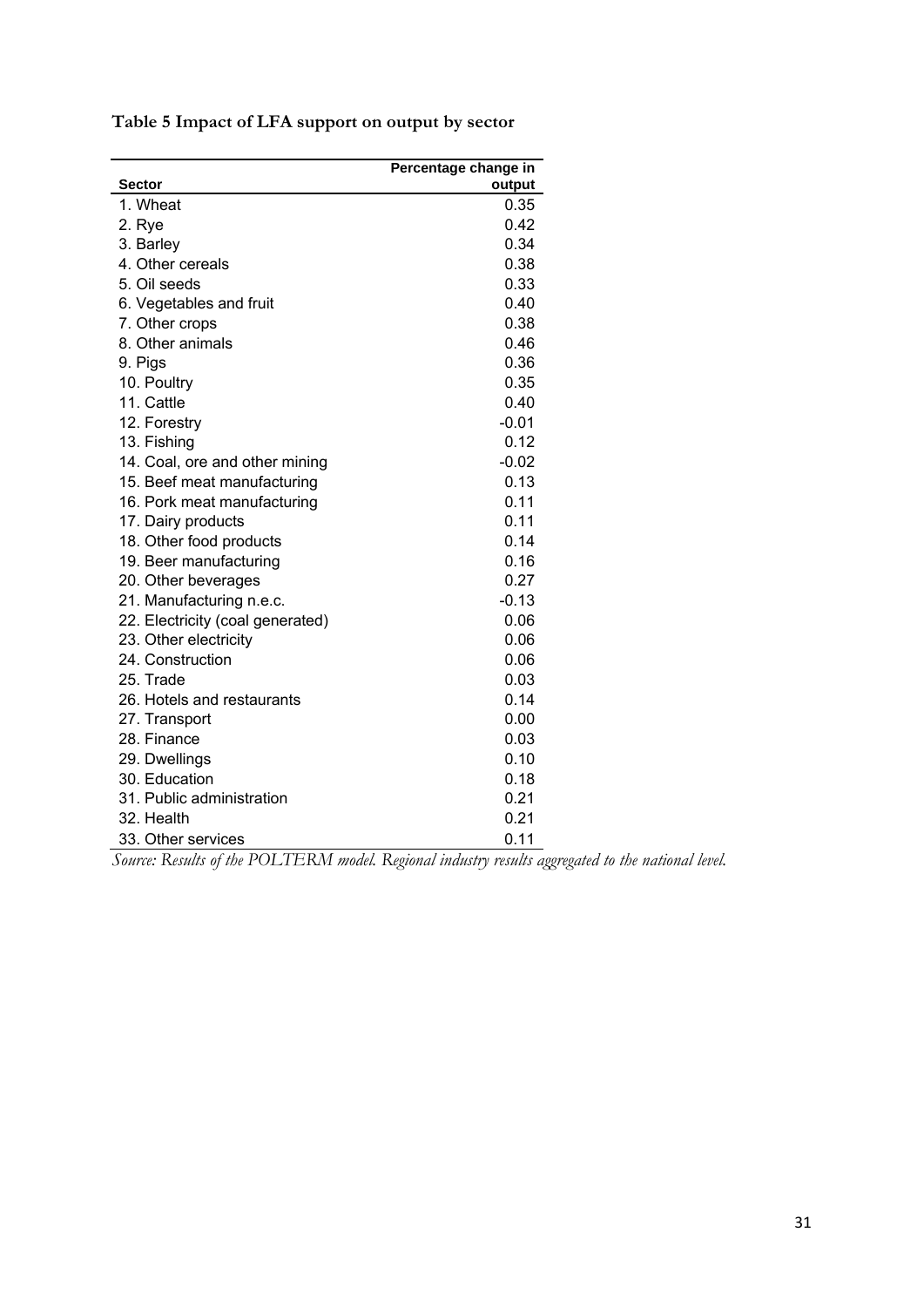**Table 5 Impact of LFA support on output by sector** 

| <b>Sector</b>                    | Percentage change in<br>output |
|----------------------------------|--------------------------------|
| 1. Wheat                         | 0.35                           |
| 2. Rye                           | 0.42                           |
| 3. Barley                        | 0.34                           |
| 4. Other cereals                 | 0.38                           |
| 5. Oil seeds                     | 0.33                           |
| 6. Vegetables and fruit          | 0.40                           |
| 7. Other crops                   | 0.38                           |
| 8. Other animals                 | 0.46                           |
| 9. Pigs                          | 0.36                           |
| 10. Poultry                      | 0.35                           |
| 11. Cattle                       | 0.40                           |
| 12. Forestry                     | $-0.01$                        |
| 13. Fishing                      | 0.12                           |
| 14. Coal, ore and other mining   | $-0.02$                        |
| 15. Beef meat manufacturing      | 0.13                           |
| 16. Pork meat manufacturing      | 0.11                           |
| 17. Dairy products               | 0.11                           |
| 18. Other food products          | 0.14                           |
| 19. Beer manufacturing           | 0.16                           |
| 20. Other beverages              | 0.27                           |
| 21. Manufacturing n.e.c.         | $-0.13$                        |
| 22. Electricity (coal generated) | 0.06                           |
| 23. Other electricity            | 0.06                           |
| 24. Construction                 | 0.06                           |
| 25. Trade                        | 0.03                           |
| 26. Hotels and restaurants       | 0.14                           |
| 27. Transport                    | 0.00                           |
| 28. Finance                      | 0.03                           |
| 29. Dwellings                    | 0.10                           |
| 30. Education                    | 0.18                           |
| 31. Public administration        | 0.21                           |
| 32. Health                       | 0.21                           |
| 33. Other services               | 0.11                           |

*Source: Results of the POLTERM model. Regional industry results aggregated to the national level.*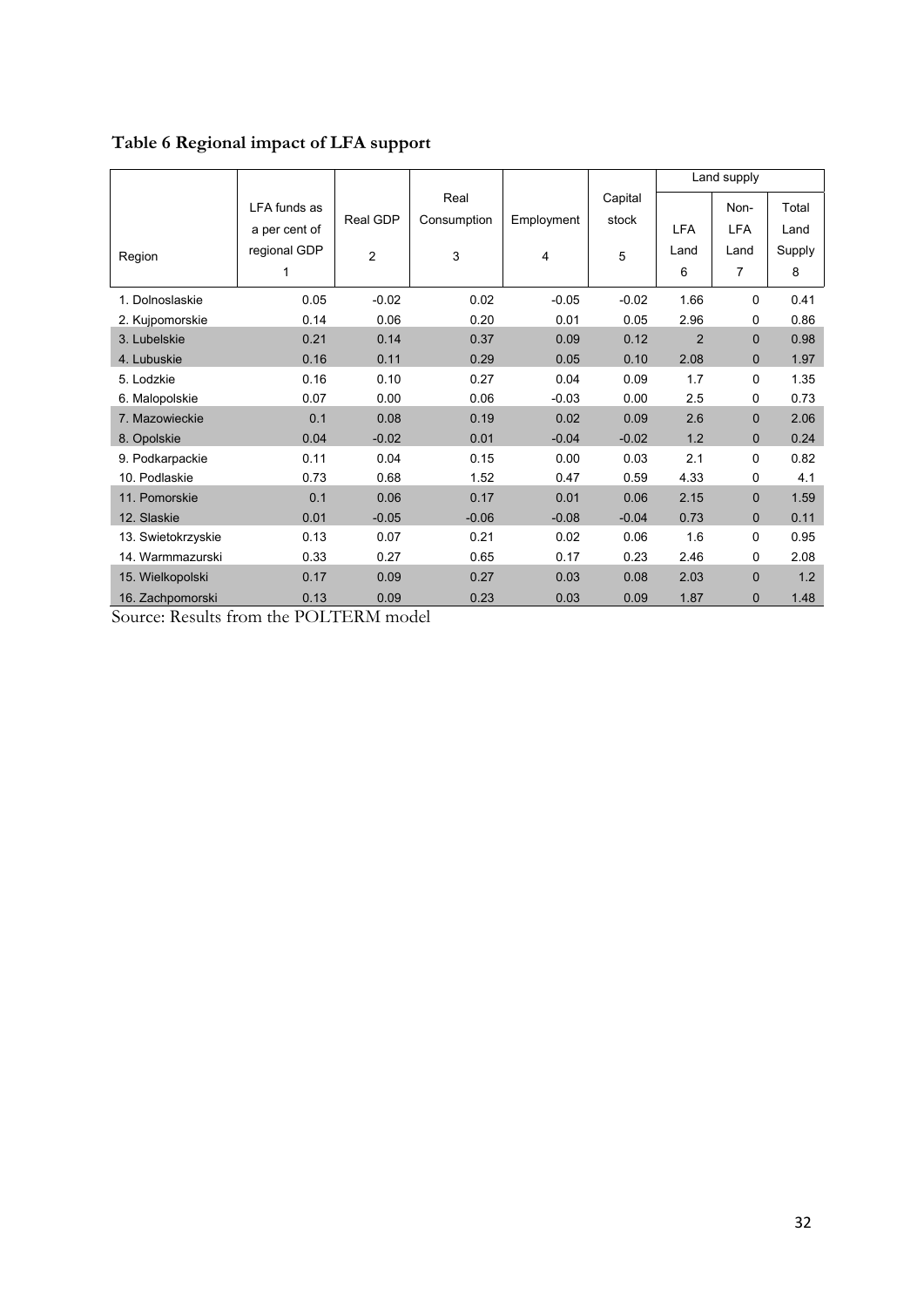|                    |               |                |             |            |         |                | Land supply  |        |
|--------------------|---------------|----------------|-------------|------------|---------|----------------|--------------|--------|
|                    | LFA funds as  |                | Real        |            | Capital |                | Non-         | Total  |
|                    | a per cent of | Real GDP       | Consumption | Employment | stock   | <b>LFA</b>     | <b>LFA</b>   | Land   |
| Region             | regional GDP  | $\overline{c}$ | 3           | 4          | 5       | Land           | Land         | Supply |
|                    | 1             |                |             |            |         | 6              | 7            | 8      |
| 1. Dolnoslaskie    | 0.05          | $-0.02$        | 0.02        | $-0.05$    | $-0.02$ | 1.66           | 0            | 0.41   |
| 2. Kujpomorskie    | 0.14          | 0.06           | 0.20        | 0.01       | 0.05    | 2.96           | 0            | 0.86   |
| 3. Lubelskie       | 0.21          | 0.14           | 0.37        | 0.09       | 0.12    | $\overline{2}$ | $\Omega$     | 0.98   |
| 4. Lubuskie        | 0.16          | 0.11           | 0.29        | 0.05       | 0.10    | 2.08           | $\mathbf 0$  | 1.97   |
| 5. Lodzkie         | 0.16          | 0.10           | 0.27        | 0.04       | 0.09    | 1.7            | $\Omega$     | 1.35   |
| 6. Malopolskie     | 0.07          | 0.00           | 0.06        | $-0.03$    | 0.00    | 2.5            | 0            | 0.73   |
| 7. Mazowieckie     | 0.1           | 0.08           | 0.19        | 0.02       | 0.09    | 2.6            | $\Omega$     | 2.06   |
| 8. Opolskie        | 0.04          | $-0.02$        | 0.01        | $-0.04$    | $-0.02$ | 1.2            | $\mathbf{0}$ | 0.24   |
| 9. Podkarpackie    | 0.11          | 0.04           | 0.15        | 0.00       | 0.03    | 2.1            | 0            | 0.82   |
| 10. Podlaskie      | 0.73          | 0.68           | 1.52        | 0.47       | 0.59    | 4.33           | 0            | 4.1    |
| 11. Pomorskie      | 0.1           | 0.06           | 0.17        | 0.01       | 0.06    | 2.15           | $\Omega$     | 1.59   |
| 12. Slaskie        | 0.01          | $-0.05$        | $-0.06$     | $-0.08$    | $-0.04$ | 0.73           | $\mathbf{0}$ | 0.11   |
| 13. Swietokrzyskie | 0.13          | 0.07           | 0.21        | 0.02       | 0.06    | 1.6            | 0            | 0.95   |
| 14. Warmmazurski   | 0.33          | 0.27           | 0.65        | 0.17       | 0.23    | 2.46           | 0            | 2.08   |
| 15. Wielkopolski   | 0.17          | 0.09           | 0.27        | 0.03       | 0.08    | 2.03           | $\mathbf{0}$ | 1.2    |
| 16. Zachpomorski   | 0.13          | 0.09           | 0.23        | 0.03       | 0.09    | 1.87           | 0            | 1.48   |

Source: Results from the POLTERM model